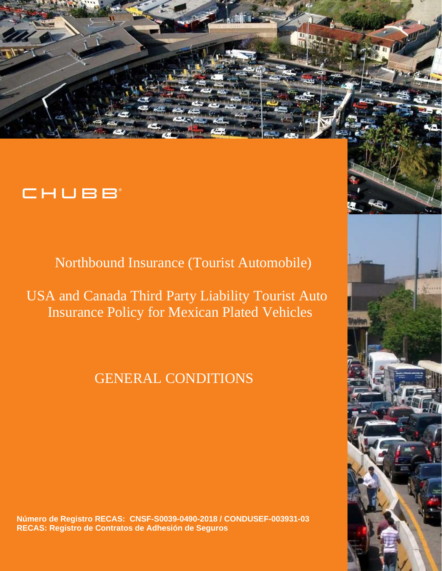

# CHUBB

Northbound Insurance (Tourist Automobile)

USA and Canada Third Party Liability Tourist Auto Insurance Policy for Mexican Plated Vehicles

# GENERAL CONDITIONS

**Número de Registro RECAS: CNSF-S0039-0490-2018 / CONDUSEF-003931-03 RECAS: Registro de Contratos de Adhesión de Seguros**

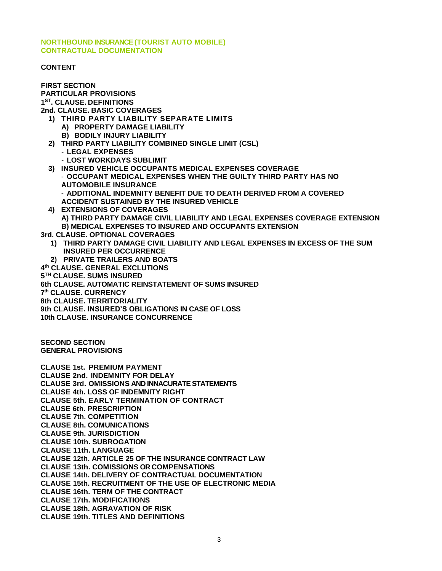**NORTHBOUND INSURANCE (TOURIST AUTO MOBILE) CONTRACTUAL DOCUMENTATION**

#### **CONTENT**

**FIRST SECTION PARTICULAR PROVISIONS 1 ST. CLAUSE. DEFINITIONS 2nd. CLAUSE. BASIC COVERAGES 1) THIRD PARTY LIABILITY SEPARATE LIMITS A) PROPERTY DAMAGE LIABILITY B) BODILY INJURY LIABILITY 2) THIRD PARTY LIABILITY COMBINED SINGLE LIMIT (CSL)** - **LEGAL EXPENSES**  - **LOST WORKDAYS SUBLIMIT 3) INSURED VEHICLE OCCUPANTS MEDICAL EXPENSES COVERAGE** - **OCCUPANT MEDICAL EXPENSES WHEN THE GUILTY THIRD PARTY HAS NO AUTOMOBILE INSURANCE** - **ADDITIONAL INDEMNITY BENEFIT DUE TO DEATH DERIVED FROM A COVERED ACCIDENT SUSTAINED BY THE INSURED VEHICLE 4) EXTENSIONS OF COVERAGES A) THIRD PARTY DAMAGE CIVIL LIABILITY AND LEGAL EXPENSES COVERAGE EXTENSION B) MEDICAL EXPENSES TO INSURED AND OCCUPANTS EXTENSION 3rd. CLAUSE. OPTIONAL COVERAGES 1) THIRD PARTY DAMAGE CIVIL LIABILITY AND LEGAL EXPENSES IN EXCESS OF THE SUM INSURED PER OCCURRENCE 2) PRIVATE TRAILERS AND BOATS 4 th CLAUSE. GENERAL EXCLUTIONS 5 TH CLAUSE. SUMS INSURED 6th CLAUSE. AUTOMATIC REINSTATEMENT OF SUMS INSURED 7 th CLAUSE. CURRENCY 8th CLAUSE. TERRITORIALITY 9th CLAUSE. INSURED'S OBLIGATIONS IN CASE OF LOSS 10th CLAUSE. INSURANCE CONCURRENCE SECOND SECTION GENERAL PROVISIONS CLAUSE 1st. PREMIUM PAYMENT CLAUSE 2nd. INDEMNITY FOR DELAY CLAUSE 3rd. OMISSIONS AND INNACURATE STATEMENTS CLAUSE 4th. LOSS OF INDEMNITY RIGHT CLAUSE 5th. EARLY TERMINATION OF CONTRACT CLAUSE 6th. PRESCRIPTION CLAUSE 7th. COMPETITION CLAUSE 8th. COMUNICATIONS CLAUSE 9th. JURISDICTION CLAUSE 10th. SUBROGATION CLAUSE 11th. LANGUAGE CLAUSE 12th. ARTICLE 25 OF THE INSURANCE CONTRACT LAW CLAUSE 13th. COMISSIONS OR COMPENSATIONS CLAUSE 14th. DELIVERY OF CONTRACTUAL DOCUMENTATION CLAUSE 15th. RECRUITMENT OF THE USE OF ELECTRONIC MEDIA CLAUSE 16th. TERM OF THE CONTRACT CLAUSE 17th. MODIFICATIONS CLAUSE 18th. AGRAVATION OF RISK CLAUSE 19th. TITLES AND DEFINITIONS**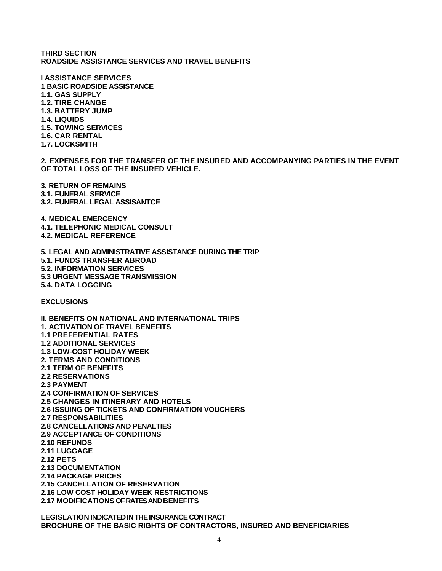**THIRD SECTION ROADSIDE ASSISTANCE SERVICES AND TRAVEL BENEFITS**

**I ASSISTANCE SERVICES 1 BASIC ROADSIDE ASSISTANCE 1.1. GAS SUPPLY 1.2. TIRE CHANGE 1.3. BATTERY JUMP 1.4. LIQUIDS 1.5. TOWING SERVICES 1.6. CAR RENTAL 1.7. LOCKSMITH**

**2. EXPENSES FOR THE TRANSFER OF THE INSURED AND ACCOMPANYING PARTIES IN THE EVENT OF TOTAL LOSS OF THE INSURED VEHICLE.**

**3. RETURN OF REMAINS 3.1. FUNERAL SERVICE 3.2. FUNERAL LEGAL ASSISANTCE** 

**4. MEDICAL EMERGENCY 4.1. TELEPHONIC MEDICAL CONSULT 4.2. MEDICAL REFERENCE** 

**5. LEGAL AND ADMINISTRATIVE ASSISTANCE DURING THE TRIP 5.1. FUNDS TRANSFER ABROAD 5.2. INFORMATION SERVICES 5.3 URGENT MESSAGE TRANSMISSION 5.4. DATA LOGGING**

**EXCLUSIONS**

**II. BENEFITS ON NATIONAL AND INTERNATIONAL TRIPS 1. ACTIVATION OF TRAVEL BENEFITS 1.1 PREFERENTIAL RATES 1.2 ADDITIONAL SERVICES 1.3 LOW-COST HOLIDAY WEEK 2. TERMS AND CONDITIONS 2.1 TERM OF BENEFITS 2.2 RESERVATIONS 2.3 PAYMENT 2.4 CONFIRMATION OF SERVICES 2.5 CHANGES IN ITINERARY AND HOTELS 2.6 ISSUING OF TICKETS AND CONFIRMATION VOUCHERS 2.7 RESPONSABILITIES 2.8 CANCELLATIONS AND PENALTIES 2.9 ACCEPTANCE OF CONDITIONS 2.10 REFUNDS 2.11 LUGGAGE 2.12 PETS 2.13 DOCUMENTATION 2.14 PACKAGE PRICES 2.15 CANCELLATION OF RESERVATION 2.16 LOW COST HOLIDAY WEEK RESTRICTIONS 2.17 MODIFICATIONS OF RATES AND BENEFITS**

**LEGISLATION INDICATED IN THE INSURANCE CONTRACT BROCHURE OF THE BASIC RIGHTS OF CONTRACTORS, INSURED AND BENEFICIARIES**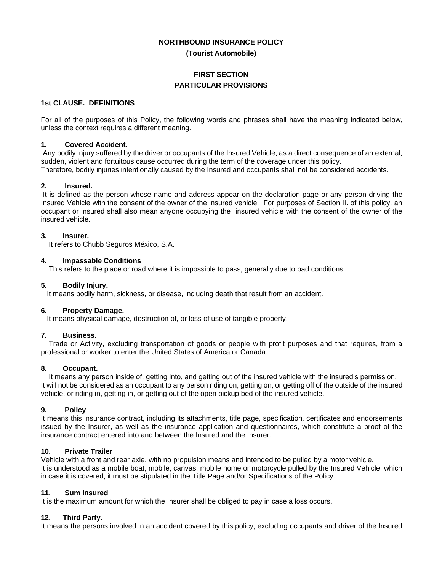#### **NORTHBOUND INSURANCE POLICY**

**(Tourist Automobile)**

#### **FIRST SECTION PARTICULAR PROVISIONS**

#### **1st CLAUSE. DEFINITIONS**

For all of the purposes of this Policy, the following words and phrases shall have the meaning indicated below, unless the context requires a different meaning.

#### **1. Covered Accident.**

Any bodily injury suffered by the driver or occupants of the Insured Vehicle, as a direct consequence of an external, sudden, violent and fortuitous cause occurred during the term of the coverage under this policy. Therefore, bodily injuries intentionally caused by the Insured and occupants shall not be considered accidents.

#### **2. Insured.**

It is defined as the person whose name and address appear on the declaration page or any person driving the Insured Vehicle with the consent of the owner of the insured vehicle. For purposes of Section II. of this policy, an occupant or insured shall also mean anyone occupying the insured vehicle with the consent of the owner of the insured vehicle.

#### **3. Insurer.**

It refers to Chubb Seguros México, S.A.

#### **4. Impassable Conditions**

This refers to the place or road where it is impossible to pass, generally due to bad conditions.

#### **5. Bodily Injury.**

It means bodily harm, sickness, or disease, including death that result from an accident.

#### **6. Property Damage.**

It means physical damage, destruction of, or loss of use of tangible property.

#### **7. Business.**

 Trade or Activity, excluding transportation of goods or people with profit purposes and that requires, from a professional or worker to enter the United States of America or Canada.

#### **8. Occupant.**

 It means any person inside of, getting into, and getting out of the insured vehicle with the insured's permission. It will not be considered as an occupant to any person riding on, getting on, or getting off of the outside of the insured vehicle, or riding in, getting in, or getting out of the open pickup bed of the insured vehicle.

#### **9. Policy**

It means this insurance contract, including its attachments, title page, specification, certificates and endorsements issued by the Insurer, as well as the insurance application and questionnaires, which constitute a proof of the insurance contract entered into and between the Insured and the Insurer.

#### **10. Private Trailer**

Vehicle with a front and rear axle, with no propulsion means and intended to be pulled by a motor vehicle. It is understood as a mobile boat, mobile, canvas, mobile home or motorcycle pulled by the Insured Vehicle, which in case it is covered, it must be stipulated in the Title Page and/or Specifications of the Policy.

#### **11. Sum Insured**

It is the maximum amount for which the Insurer shall be obliged to pay in case a loss occurs.

#### **12. Third Party.**

It means the persons involved in an accident covered by this policy, excluding occupants and driver of the Insured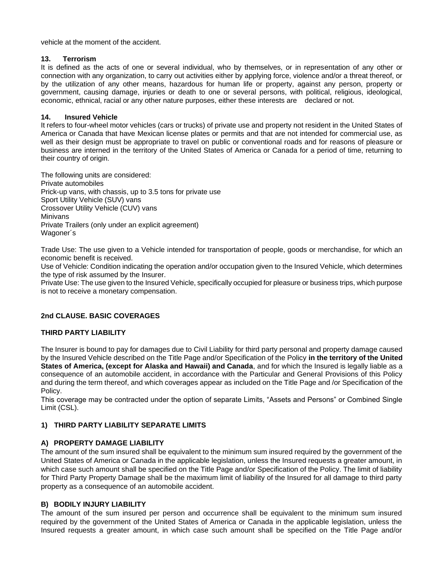vehicle at the moment of the accident.

#### **13. Terrorism**

It is defined as the acts of one or several individual, who by themselves, or in representation of any other or connection with any organization, to carry out activities either by applying force, violence and/or a threat thereof, or by the utilization of any other means, hazardous for human life or property, against any person, property or government, causing damage, injuries or death to one or several persons, with political, religious, ideological, economic, ethnical, racial or any other nature purposes, either these interests are declared or not.

#### **14. Insured Vehicle**

It refers to four-wheel motor vehicles (cars or trucks) of private use and property not resident in the United States of America or Canada that have Mexican license plates or permits and that are not intended for commercial use, as well as their design must be appropriate to travel on public or conventional roads and for reasons of pleasure or business are interned in the territory of the United States of America or Canada for a period of time, returning to their country of origin.

The following units are considered: Private automobiles Prick-up vans, with chassis, up to 3.5 tons for private use Sport Utility Vehicle (SUV) vans Crossover Utility Vehicle (CUV) vans Minivans Private Trailers (only under an explicit agreement) Wagoner´s

Trade Use: The use given to a Vehicle intended for transportation of people, goods or merchandise, for which an economic benefit is received.

Use of Vehicle: Condition indicating the operation and/or occupation given to the Insured Vehicle, which determines the type of risk assumed by the Insurer.

Private Use: The use given to the Insured Vehicle, specifically occupied for pleasure or business trips, which purpose is not to receive a monetary compensation.

#### **2nd CLAUSE. BASIC COVERAGES**

#### **THIRD PARTY LIABILITY**

The Insurer is bound to pay for damages due to Civil Liability for third party personal and property damage caused by the Insured Vehicle described on the Title Page and/or Specification of the Policy **in the territory of the United States of America, (except for Alaska and Hawaii) and Canada**, and for which the Insured is legally liable as a consequence of an automobile accident, in accordance with the Particular and General Provisions of this Policy and during the term thereof, and which coverages appear as included on the Title Page and /or Specification of the Policy.

This coverage may be contracted under the option of separate Limits, "Assets and Persons" or Combined Single Limit (CSL).

#### **1) THIRD PARTY LIABILITY SEPARATE LIMITS**

#### **A) PROPERTY DAMAGE LIABILITY**

The amount of the sum insured shall be equivalent to the minimum sum insured required by the government of the United States of America or Canada in the applicable legislation, unless the Insured requests a greater amount, in which case such amount shall be specified on the Title Page and/or Specification of the Policy. The limit of liability for Third Party Property Damage shall be the maximum limit of liability of the Insured for all damage to third party property as a consequence of an automobile accident.

#### **B) BODILY INJURY LIABILITY**

The amount of the sum insured per person and occurrence shall be equivalent to the minimum sum insured required by the government of the United States of America or Canada in the applicable legislation, unless the Insured requests a greater amount, in which case such amount shall be specified on the Title Page and/or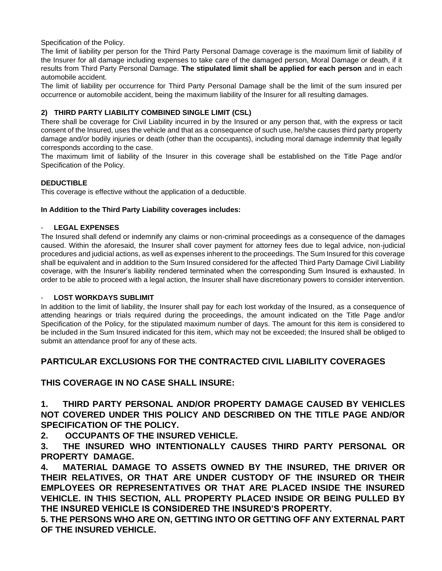Specification of the Policy.

The limit of liability per person for the Third Party Personal Damage coverage is the maximum limit of liability of the Insurer for all damage including expenses to take care of the damaged person, Moral Damage or death, if it results from Third Party Personal Damage. **The stipulated limit shall be applied for each person** and in each automobile accident.

The limit of liability per occurrence for Third Party Personal Damage shall be the limit of the sum insured per occurrence or automobile accident, being the maximum liability of the Insurer for all resulting damages.

#### **2) THIRD PARTY LIABILITY COMBINED SINGLE LIMIT (CSL)**

There shall be coverage for Civil Liability incurred in by the Insured or any person that, with the express or tacit consent of the Insured, uses the vehicle and that as a consequence of such use, he/she causes third party property damage and/or bodily injuries or death (other than the occupants), including moral damage indemnity that legally corresponds according to the case.

The maximum limit of liability of the Insurer in this coverage shall be established on the Title Page and/or Specification of the Policy.

#### **DEDUCTIBLE**

This coverage is effective without the application of a deductible.

#### **In Addition to the Third Party Liability coverages includes:**

#### LEGAL EXPENSES

The Insured shall defend or indemnify any claims or non-criminal proceedings as a consequence of the damages caused. Within the aforesaid, the Insurer shall cover payment for attorney fees due to legal advice, non-judicial procedures and judicial actions, as well as expenses inherent to the proceedings. The Sum Insured for this coverage shall be equivalent and in addition to the Sum Insured considered for the affected Third Party Damage Civil Liability coverage, with the Insurer's liability rendered terminated when the corresponding Sum Insured is exhausted. In order to be able to proceed with a legal action, the Insurer shall have discretionary powers to consider intervention.

#### **LOST WORKDAYS SUBLIMIT**

In addition to the limit of liability, the Insurer shall pay for each lost workday of the Insured, as a consequence of attending hearings or trials required during the proceedings, the amount indicated on the Title Page and/or Specification of the Policy, for the stipulated maximum number of days. The amount for this item is considered to be included in the Sum Insured indicated for this item, which may not be exceeded; the Insured shall be obliged to submit an attendance proof for any of these acts.

## **PARTICULAR EXCLUSIONS FOR THE CONTRACTED CIVIL LIABILITY COVERAGES**

## **THIS COVERAGE IN NO CASE SHALL INSURE:**

**1. THIRD PARTY PERSONAL AND/OR PROPERTY DAMAGE CAUSED BY VEHICLES NOT COVERED UNDER THIS POLICY AND DESCRIBED ON THE TITLE PAGE AND/OR SPECIFICATION OF THE POLICY.**

**2. OCCUPANTS OF THE INSURED VEHICLE.**

**3. THE INSURED WHO INTENTIONALLY CAUSES THIRD PARTY PERSONAL OR PROPERTY DAMAGE.**

**4. MATERIAL DAMAGE TO ASSETS OWNED BY THE INSURED, THE DRIVER OR THEIR RELATIVES, OR THAT ARE UNDER CUSTODY OF THE INSURED OR THEIR EMPLOYEES OR REPRESENTATIVES OR THAT ARE PLACED INSIDE THE INSURED VEHICLE. IN THIS SECTION, ALL PROPERTY PLACED INSIDE OR BEING PULLED BY THE INSURED VEHICLE IS CONSIDERED THE INSURED'S PROPERTY.**

**5. THE PERSONS WHO ARE ON, GETTING INTO OR GETTING OFF ANY EXTERNAL PART OF THE INSURED VEHICLE.**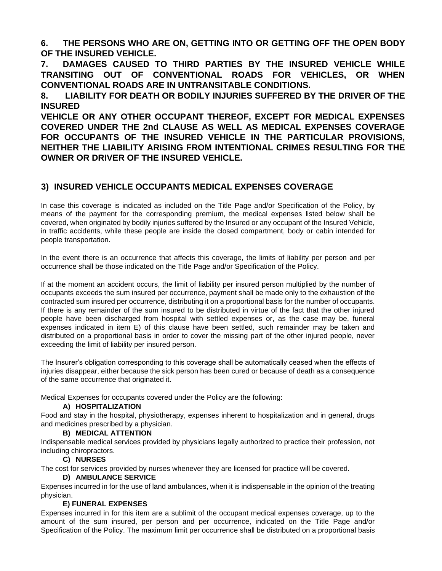**6. THE PERSONS WHO ARE ON, GETTING INTO OR GETTING OFF THE OPEN BODY OF THE INSURED VEHICLE.**

**7. DAMAGES CAUSED TO THIRD PARTIES BY THE INSURED VEHICLE WHILE TRANSITING OUT OF CONVENTIONAL ROADS FOR VEHICLES, OR WHEN CONVENTIONAL ROADS ARE IN UNTRANSITABLE CONDITIONS.**

**8. LIABILITY FOR DEATH OR BODILY INJURIES SUFFERED BY THE DRIVER OF THE INSURED**

**VEHICLE OR ANY OTHER OCCUPANT THEREOF, EXCEPT FOR MEDICAL EXPENSES COVERED UNDER THE 2nd CLAUSE AS WELL AS MEDICAL EXPENSES COVERAGE FOR OCCUPANTS OF THE INSURED VEHICLE IN THE PARTICULAR PROVISIONS, NEITHER THE LIABILITY ARISING FROM INTENTIONAL CRIMES RESULTING FOR THE OWNER OR DRIVER OF THE INSURED VEHICLE.**

## **3) INSURED VEHICLE OCCUPANTS MEDICAL EXPENSES COVERAGE**

In case this coverage is indicated as included on the Title Page and/or Specification of the Policy, by means of the payment for the corresponding premium, the medical expenses listed below shall be covered, when originated by bodily injuries suffered by the Insured or any occupant of the Insured Vehicle, in traffic accidents, while these people are inside the closed compartment, body or cabin intended for people transportation.

In the event there is an occurrence that affects this coverage, the limits of liability per person and per occurrence shall be those indicated on the Title Page and/or Specification of the Policy.

If at the moment an accident occurs, the limit of liability per insured person multiplied by the number of occupants exceeds the sum insured per occurrence, payment shall be made only to the exhaustion of the contracted sum insured per occurrence, distributing it on a proportional basis for the number of occupants. If there is any remainder of the sum insured to be distributed in virtue of the fact that the other injured people have been discharged from hospital with settled expenses or, as the case may be, funeral expenses indicated in item E) of this clause have been settled, such remainder may be taken and distributed on a proportional basis in order to cover the missing part of the other injured people, never exceeding the limit of liability per insured person.

The Insurer's obligation corresponding to this coverage shall be automatically ceased when the effects of injuries disappear, either because the sick person has been cured or because of death as a consequence of the same occurrence that originated it.

Medical Expenses for occupants covered under the Policy are the following:

## **A) HOSPITALIZATION**

Food and stay in the hospital, physiotherapy, expenses inherent to hospitalization and in general, drugs and medicines prescribed by a physician.

#### **B) MEDICAL ATTENTION**

Indispensable medical services provided by physicians legally authorized to practice their profession, not including chiropractors.

#### **C) NURSES**

The cost for services provided by nurses whenever they are licensed for practice will be covered.

#### **D) AMBULANCE SERVICE**

Expenses incurred in for the use of land ambulances, when it is indispensable in the opinion of the treating physician.

#### **E) FUNERAL EXPENSES**

Expenses incurred in for this item are a sublimit of the occupant medical expenses coverage, up to the amount of the sum insured, per person and per occurrence, indicated on the Title Page and/or Specification of the Policy. The maximum limit per occurrence shall be distributed on a proportional basis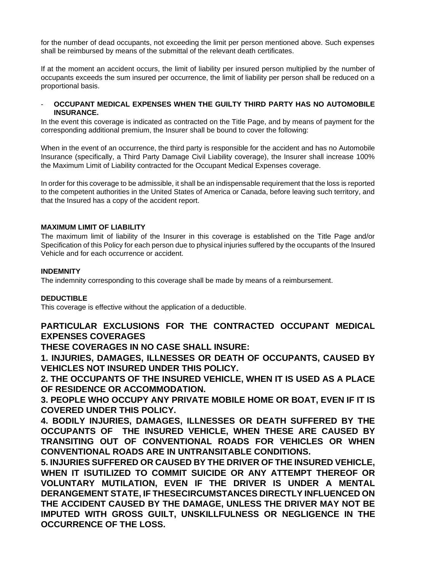for the number of dead occupants, not exceeding the limit per person mentioned above. Such expenses shall be reimbursed by means of the submittal of the relevant death certificates.

If at the moment an accident occurs, the limit of liability per insured person multiplied by the number of occupants exceeds the sum insured per occurrence, the limit of liability per person shall be reduced on a proportional basis.

#### - **OCCUPANT MEDICAL EXPENSES WHEN THE GUILTY THIRD PARTY HAS NO AUTOMOBILE INSURANCE.**

In the event this coverage is indicated as contracted on the Title Page, and by means of payment for the corresponding additional premium, the Insurer shall be bound to cover the following:

When in the event of an occurrence, the third party is responsible for the accident and has no Automobile Insurance (specifically, a Third Party Damage Civil Liability coverage), the Insurer shall increase 100% the Maximum Limit of Liability contracted for the Occupant Medical Expenses coverage.

In order for this coverage to be admissible, it shall be an indispensable requirement that the loss is reported to the competent authorities in the United States of America or Canada, before leaving such territory, and that the Insured has a copy of the accident report.

#### **MAXIMUM LIMIT OF LIABILITY**

The maximum limit of liability of the Insurer in this coverage is established on the Title Page and/or Specification of this Policy for each person due to physical injuries suffered by the occupants of the Insured Vehicle and for each occurrence or accident.

#### **INDEMNITY**

The indemnity corresponding to this coverage shall be made by means of a reimbursement.

#### **DEDUCTIBLE**

This coverage is effective without the application of a deductible.

## **PARTICULAR EXCLUSIONS FOR THE CONTRACTED OCCUPANT MEDICAL EXPENSES COVERAGES**

**THESE COVERAGES IN NO CASE SHALL INSURE:**

**1. INJURIES, DAMAGES, ILLNESSES OR DEATH OF OCCUPANTS, CAUSED BY VEHICLES NOT INSURED UNDER THIS POLICY.**

**2. THE OCCUPANTS OF THE INSURED VEHICLE, WHEN IT IS USED AS A PLACE OF RESIDENCE OR ACCOMMODATION.**

**3. PEOPLE WHO OCCUPY ANY PRIVATE MOBILE HOME OR BOAT, EVEN IF IT IS COVERED UNDER THIS POLICY.**

**4. BODILY INJURIES, DAMAGES, ILLNESSES OR DEATH SUFFERED BY THE OCCUPANTS OF THE INSURED VEHICLE, WHEN THESE ARE CAUSED BY TRANSITING OUT OF CONVENTIONAL ROADS FOR VEHICLES OR WHEN CONVENTIONAL ROADS ARE IN UNTRANSITABLE CONDITIONS.**

**5. INJURIES SUFFERED OR CAUSED BY THE DRIVER OF THE INSURED VEHICLE, WHEN IT ISUTILIZED TO COMMIT SUICIDE OR ANY ATTEMPT THEREOF OR VOLUNTARY MUTILATION, EVEN IF THE DRIVER IS UNDER A MENTAL DERANGEMENT STATE, IF THESECIRCUMSTANCES DIRECTLY INFLUENCED ON THE ACCIDENT CAUSED BY THE DAMAGE, UNLESS THE DRIVER MAY NOT BE IMPUTED WITH GROSS GUILT, UNSKILLFULNESS OR NEGLIGENCE IN THE OCCURRENCE OF THE LOSS.**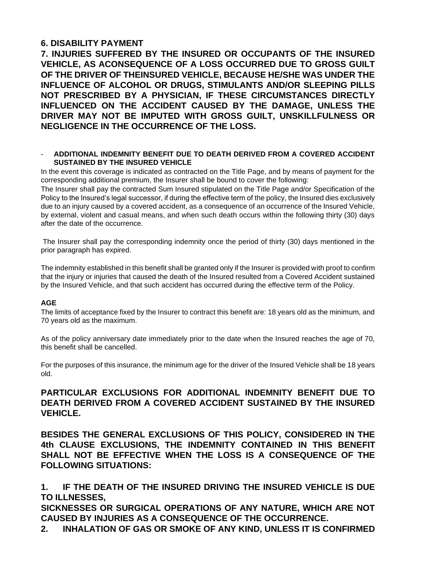## **6. DISABILITY PAYMENT**

**7. INJURIES SUFFERED BY THE INSURED OR OCCUPANTS OF THE INSURED VEHICLE, AS ACONSEQUENCE OF A LOSS OCCURRED DUE TO GROSS GUILT OF THE DRIVER OF THEINSURED VEHICLE, BECAUSE HE/SHE WAS UNDER THE INFLUENCE OF ALCOHOL OR DRUGS, STIMULANTS AND/OR SLEEPING PILLS NOT PRESCRIBED BY A PHYSICIAN, IF THESE CIRCUMSTANCES DIRECTLY INFLUENCED ON THE ACCIDENT CAUSED BY THE DAMAGE, UNLESS THE DRIVER MAY NOT BE IMPUTED WITH GROSS GUILT, UNSKILLFULNESS OR NEGLIGENCE IN THE OCCURRENCE OF THE LOSS.**

#### - **ADDITIONAL INDEMNITY BENEFIT DUE TO DEATH DERIVED FROM A COVERED ACCIDENT SUSTAINED BY THE INSURED VEHICLE**

In the event this coverage is indicated as contracted on the Title Page, and by means of payment for the corresponding additional premium, the Insurer shall be bound to cover the following:

The Insurer shall pay the contracted Sum Insured stipulated on the Title Page and/or Specification of the Policy to the Insured's legal successor, if during the effective term of the policy, the Insured dies exclusively due to an injury caused by a covered accident, as a consequence of an occurrence of the Insured Vehicle, by external, violent and casual means, and when such death occurs within the following thirty (30) days after the date of the occurrence.

The Insurer shall pay the corresponding indemnity once the period of thirty (30) days mentioned in the prior paragraph has expired.

The indemnity established in this benefit shall be granted only if the Insurer is provided with proof to confirm that the injury or injuries that caused the death of the Insured resulted from a Covered Accident sustained by the Insured Vehicle, and that such accident has occurred during the effective term of the Policy.

#### **AGE**

The limits of acceptance fixed by the Insurer to contract this benefit are: 18 years old as the minimum, and 70 years old as the maximum.

As of the policy anniversary date immediately prior to the date when the Insured reaches the age of 70, this benefit shall be cancelled.

For the purposes of this insurance, the minimum age for the driver of the Insured Vehicle shall be 18 years old.

## **PARTICULAR EXCLUSIONS FOR ADDITIONAL INDEMNITY BENEFIT DUE TO DEATH DERIVED FROM A COVERED ACCIDENT SUSTAINED BY THE INSURED VEHICLE.**

**BESIDES THE GENERAL EXCLUSIONS OF THIS POLICY, CONSIDERED IN THE 4th CLAUSE EXCLUSIONS, THE INDEMNITY CONTAINED IN THIS BENEFIT SHALL NOT BE EFFECTIVE WHEN THE LOSS IS A CONSEQUENCE OF THE FOLLOWING SITUATIONS:**

**1. IF THE DEATH OF THE INSURED DRIVING THE INSURED VEHICLE IS DUE TO ILLNESSES,**

**SICKNESSES OR SURGICAL OPERATIONS OF ANY NATURE, WHICH ARE NOT CAUSED BY INJURIES AS A CONSEQUENCE OF THE OCCURRENCE.**

**2. INHALATION OF GAS OR SMOKE OF ANY KIND, UNLESS IT IS CONFIRMED**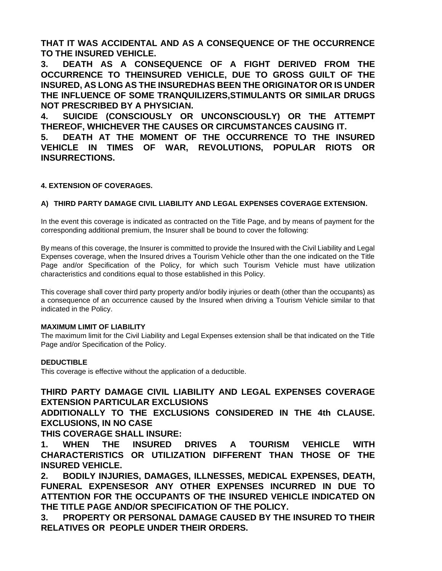**THAT IT WAS ACCIDENTAL AND AS A CONSEQUENCE OF THE OCCURRENCE TO THE INSURED VEHICLE.**

**3. DEATH AS A CONSEQUENCE OF A FIGHT DERIVED FROM THE OCCURRENCE TO THEINSURED VEHICLE, DUE TO GROSS GUILT OF THE INSURED, AS LONG AS THE INSUREDHAS BEEN THE ORIGINATOR OR IS UNDER THE INFLUENCE OF SOME TRANQUILIZERS,STIMULANTS OR SIMILAR DRUGS NOT PRESCRIBED BY A PHYSICIAN.**

**4. SUICIDE (CONSCIOUSLY OR UNCONSCIOUSLY) OR THE ATTEMPT THEREOF, WHICHEVER THE CAUSES OR CIRCUMSTANCES CAUSING IT.**

**5. DEATH AT THE MOMENT OF THE OCCURRENCE TO THE INSURED VEHICLE IN TIMES OF WAR, REVOLUTIONS, POPULAR RIOTS OR INSURRECTIONS.**

#### **4. EXTENSION OF COVERAGES.**

#### **A) THIRD PARTY DAMAGE CIVIL LIABILITY AND LEGAL EXPENSES COVERAGE EXTENSION.**

In the event this coverage is indicated as contracted on the Title Page, and by means of payment for the corresponding additional premium, the Insurer shall be bound to cover the following:

By means of this coverage, the Insurer is committed to provide the Insured with the Civil Liability and Legal Expenses coverage, when the Insured drives a Tourism Vehicle other than the one indicated on the Title Page and/or Specification of the Policy, for which such Tourism Vehicle must have utilization characteristics and conditions equal to those established in this Policy.

This coverage shall cover third party property and/or bodily injuries or death (other than the occupants) as a consequence of an occurrence caused by the Insured when driving a Tourism Vehicle similar to that indicated in the Policy.

#### **MAXIMUM LIMIT OF LIABILITY**

The maximum limit for the Civil Liability and Legal Expenses extension shall be that indicated on the Title Page and/or Specification of the Policy.

#### **DEDUCTIBLE**

This coverage is effective without the application of a deductible.

## **THIRD PARTY DAMAGE CIVIL LIABILITY AND LEGAL EXPENSES COVERAGE EXTENSION PARTICULAR EXCLUSIONS**

**ADDITIONALLY TO THE EXCLUSIONS CONSIDERED IN THE 4th CLAUSE. EXCLUSIONS, IN NO CASE**

## **THIS COVERAGE SHALL INSURE:**

**1. WHEN THE INSURED DRIVES A TOURISM VEHICLE WITH CHARACTERISTICS OR UTILIZATION DIFFERENT THAN THOSE OF THE INSURED VEHICLE.**

**2. BODILY INJURIES, DAMAGES, ILLNESSES, MEDICAL EXPENSES, DEATH, FUNERAL EXPENSESOR ANY OTHER EXPENSES INCURRED IN DUE TO ATTENTION FOR THE OCCUPANTS OF THE INSURED VEHICLE INDICATED ON THE TITLE PAGE AND/OR SPECIFICATION OF THE POLICY.**

**3. PROPERTY OR PERSONAL DAMAGE CAUSED BY THE INSURED TO THEIR RELATIVES OR PEOPLE UNDER THEIR ORDERS.**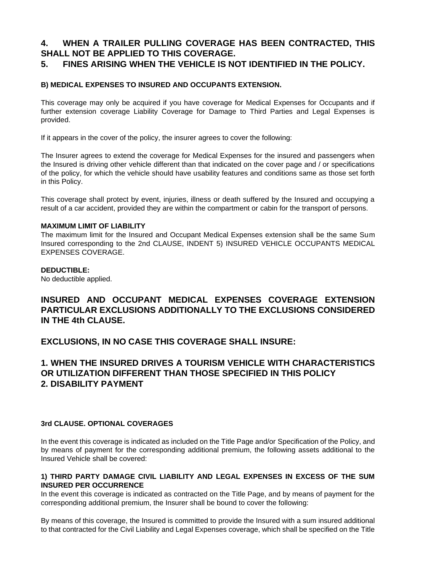## **4. WHEN A TRAILER PULLING COVERAGE HAS BEEN CONTRACTED, THIS SHALL NOT BE APPLIED TO THIS COVERAGE.**

## **5. FINES ARISING WHEN THE VEHICLE IS NOT IDENTIFIED IN THE POLICY.**

#### **B) MEDICAL EXPENSES TO INSURED AND OCCUPANTS EXTENSION.**

This coverage may only be acquired if you have coverage for Medical Expenses for Occupants and if further extension coverage Liability Coverage for Damage to Third Parties and Legal Expenses is provided.

If it appears in the cover of the policy, the insurer agrees to cover the following:

The Insurer agrees to extend the coverage for Medical Expenses for the insured and passengers when the Insured is driving other vehicle different than that indicated on the cover page and / or specifications of the policy, for which the vehicle should have usability features and conditions same as those set forth in this Policy.

This coverage shall protect by event, injuries, illness or death suffered by the Insured and occupying a result of a car accident, provided they are within the compartment or cabin for the transport of persons.

#### **MAXIMUM LIMIT OF LIABILITY**

The maximum limit for the Insured and Occupant Medical Expenses extension shall be the same Sum Insured corresponding to the 2nd CLAUSE, INDENT 5) INSURED VEHICLE OCCUPANTS MEDICAL EXPENSES COVERAGE.

#### **DEDUCTIBLE:**

No deductible applied.

## **INSURED AND OCCUPANT MEDICAL EXPENSES COVERAGE EXTENSION PARTICULAR EXCLUSIONS ADDITIONALLY TO THE EXCLUSIONS CONSIDERED IN THE 4th CLAUSE.**

**EXCLUSIONS, IN NO CASE THIS COVERAGE SHALL INSURE:**

## **1. WHEN THE INSURED DRIVES A TOURISM VEHICLE WITH CHARACTERISTICS OR UTILIZATION DIFFERENT THAN THOSE SPECIFIED IN THIS POLICY 2. DISABILITY PAYMENT**

#### **3rd CLAUSE. OPTIONAL COVERAGES**

In the event this coverage is indicated as included on the Title Page and/or Specification of the Policy, and by means of payment for the corresponding additional premium, the following assets additional to the Insured Vehicle shall be covered:

#### **1) THIRD PARTY DAMAGE CIVIL LIABILITY AND LEGAL EXPENSES IN EXCESS OF THE SUM INSURED PER OCCURRENCE**

In the event this coverage is indicated as contracted on the Title Page, and by means of payment for the corresponding additional premium, the Insurer shall be bound to cover the following:

By means of this coverage, the Insured is committed to provide the Insured with a sum insured additional to that contracted for the Civil Liability and Legal Expenses coverage, which shall be specified on the Title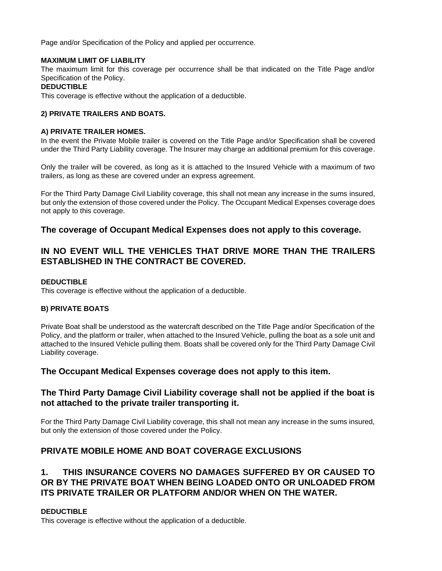Page and/or Specification of the Policy and applied per occurrence.

#### **MAXIMUM LIMIT OF LIABILITY**

The maximum limit for this coverage per occurrence shall be that indicated on the Title Page and/or Specification of the Policy.

#### **DEDUCTIBLE**

This coverage is effective without the application of a deductible.

#### **2) PRIVATE TRAILERS AND BOATS.**

#### **A) PRIVATE TRAILER HOMES.**

In the event the Private Mobile trailer is covered on the Title Page and/or Specification shall be covered under the Third Party Liability coverage. The Insurer may charge an additional premium for this coverage.

Only the trailer will be covered, as long as it is attached to the Insured Vehicle with a maximum of two trailers, as long as these are covered under an express agreement.

For the Third Party Damage Civil Liability coverage, this shall not mean any increase in the sums insured, but only the extension of those covered under the Policy. The Occupant Medical Expenses coverage does not apply to this coverage.

#### **The coverage of Occupant Medical Expenses does not apply to this coverage.**

## **IN NO EVENT WILL THE VEHICLES THAT DRIVE MORE THAN THE TRAILERS ESTABLISHED IN THE CONTRACT BE COVERED.**

#### **DEDUCTIBLE**

This coverage is effective without the application of a deductible.

#### **B) PRIVATE BOATS**

Private Boat shall be understood as the watercraft described on the Title Page and/or Specification of the Policy, and the platform or trailer, when attached to the Insured Vehicle, pulling the boat as a sole unit and attached to the Insured Vehicle pulling them. Boats shall be covered only for the Third Party Damage Civil Liability coverage.

## **The Occupant Medical Expenses coverage does not apply to this item.**

## **The Third Party Damage Civil Liability coverage shall not be applied if the boat is not attached to the private trailer transporting it.**

For the Third Party Damage Civil Liability coverage, this shall not mean any increase in the sums insured, but only the extension of those covered under the Policy.

## **PRIVATE MOBILE HOME AND BOAT COVERAGE EXCLUSIONS**

## **1. THIS INSURANCE COVERS NO DAMAGES SUFFERED BY OR CAUSED TO OR BY THE PRIVATE BOAT WHEN BEING LOADED ONTO OR UNLOADED FROM ITS PRIVATE TRAILER OR PLATFORM AND/OR WHEN ON THE WATER.**

#### **DEDUCTIBLE**

This coverage is effective without the application of a deductible.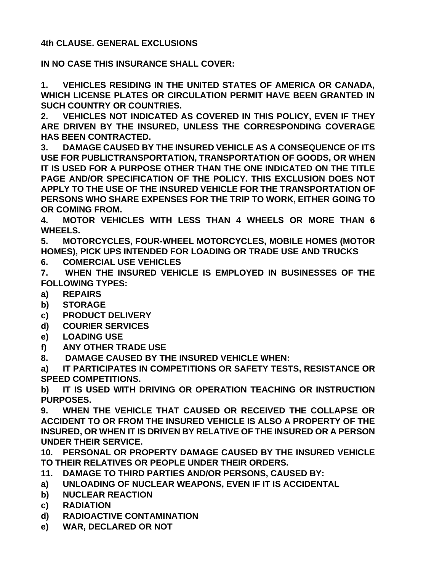**4th CLAUSE. GENERAL EXCLUSIONS**

**IN NO CASE THIS INSURANCE SHALL COVER:**

**1. VEHICLES RESIDING IN THE UNITED STATES OF AMERICA OR CANADA, WHICH LICENSE PLATES OR CIRCULATION PERMIT HAVE BEEN GRANTED IN SUCH COUNTRY OR COUNTRIES.**

**2. VEHICLES NOT INDICATED AS COVERED IN THIS POLICY, EVEN IF THEY ARE DRIVEN BY THE INSURED, UNLESS THE CORRESPONDING COVERAGE HAS BEEN CONTRACTED.**

**3. DAMAGE CAUSED BY THE INSURED VEHICLE AS A CONSEQUENCE OF ITS USE FOR PUBLICTRANSPORTATION, TRANSPORTATION OF GOODS, OR WHEN IT IS USED FOR A PURPOSE OTHER THAN THE ONE INDICATED ON THE TITLE PAGE AND/OR SPECIFICATION OF THE POLICY. THIS EXCLUSION DOES NOT APPLY TO THE USE OF THE INSURED VEHICLE FOR THE TRANSPORTATION OF PERSONS WHO SHARE EXPENSES FOR THE TRIP TO WORK, EITHER GOING TO OR COMING FROM.**

**4. MOTOR VEHICLES WITH LESS THAN 4 WHEELS OR MORE THAN 6 WHEELS.**

**5. MOTORCYCLES, FOUR-WHEEL MOTORCYCLES, MOBILE HOMES (MOTOR HOMES), PICK UPS INTENDED FOR LOADING OR TRADE USE AND TRUCKS**

**6. COMERCIAL USE VEHICLES**

**7. WHEN THE INSURED VEHICLE IS EMPLOYED IN BUSINESSES OF THE FOLLOWING TYPES:**

- **a) REPAIRS**
- **b) STORAGE**
- **c) PRODUCT DELIVERY**
- **d) COURIER SERVICES**
- **e) LOADING USE**
- **f) ANY OTHER TRADE USE**

**8. DAMAGE CAUSED BY THE INSURED VEHICLE WHEN:**

**a) IT PARTICIPATES IN COMPETITIONS OR SAFETY TESTS, RESISTANCE OR SPEED COMPETITIONS.**

**b) IT IS USED WITH DRIVING OR OPERATION TEACHING OR INSTRUCTION PURPOSES.**

**9. WHEN THE VEHICLE THAT CAUSED OR RECEIVED THE COLLAPSE OR ACCIDENT TO OR FROM THE INSURED VEHICLE IS ALSO A PROPERTY OF THE INSURED, OR WHEN IT IS DRIVEN BY RELATIVE OF THE INSURED OR A PERSON UNDER THEIR SERVICE.**

**10. PERSONAL OR PROPERTY DAMAGE CAUSED BY THE INSURED VEHICLE TO THEIR RELATIVES OR PEOPLE UNDER THEIR ORDERS.**

- **11. DAMAGE TO THIRD PARTIES AND/OR PERSONS, CAUSED BY:**
- **a) UNLOADING OF NUCLEAR WEAPONS, EVEN IF IT IS ACCIDENTAL**
- **b) NUCLEAR REACTION**
- **c) RADIATION**
- **d) RADIOACTIVE CONTAMINATION**
- **e) WAR, DECLARED OR NOT**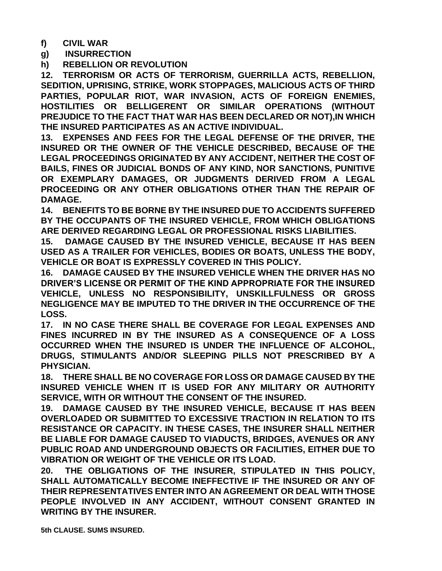**f) CIVIL WAR**

**g) INSURRECTION**

**h) REBELLION OR REVOLUTION**

**12. TERRORISM OR ACTS OF TERRORISM, GUERRILLA ACTS, REBELLION, SEDITION, UPRISING, STRIKE, WORK STOPPAGES, MALICIOUS ACTS OF THIRD PARTIES, POPULAR RIOT, WAR INVASION, ACTS OF FOREIGN ENEMIES, HOSTILITIES OR BELLIGERENT OR SIMILAR OPERATIONS (WITHOUT PREJUDICE TO THE FACT THAT WAR HAS BEEN DECLARED OR NOT),IN WHICH THE INSURED PARTICIPATES AS AN ACTIVE INDIVIDUAL.**

**13. EXPENSES AND FEES FOR THE LEGAL DEFENSE OF THE DRIVER, THE INSURED OR THE OWNER OF THE VEHICLE DESCRIBED, BECAUSE OF THE LEGAL PROCEEDINGS ORIGINATED BY ANY ACCIDENT, NEITHER THE COST OF BAILS, FINES OR JUDICIAL BONDS OF ANY KIND, NOR SANCTIONS, PUNITIVE OR EXEMPLARY DAMAGES, OR JUDGMENTS DERIVED FROM A LEGAL PROCEEDING OR ANY OTHER OBLIGATIONS OTHER THAN THE REPAIR OF DAMAGE.**

**14. BENEFITS TO BE BORNE BY THE INSURED DUE TO ACCIDENTS SUFFERED BY THE OCCUPANTS OF THE INSURED VEHICLE, FROM WHICH OBLIGATIONS ARE DERIVED REGARDING LEGAL OR PROFESSIONAL RISKS LIABILITIES.**

**15. DAMAGE CAUSED BY THE INSURED VEHICLE, BECAUSE IT HAS BEEN USED AS A TRAILER FOR VEHICLES, BODIES OR BOATS, UNLESS THE BODY, VEHICLE OR BOAT IS EXPRESSLY COVERED IN THIS POLICY.**

**16. DAMAGE CAUSED BY THE INSURED VEHICLE WHEN THE DRIVER HAS NO DRIVER'S LICENSE OR PERMIT OF THE KIND APPROPRIATE FOR THE INSURED VEHICLE, UNLESS NO RESPONSIBILITY, UNSKILLFULNESS OR GROSS NEGLIGENCE MAY BE IMPUTED TO THE DRIVER IN THE OCCURRENCE OF THE LOSS.**

**17. IN NO CASE THERE SHALL BE COVERAGE FOR LEGAL EXPENSES AND FINES INCURRED IN BY THE INSURED AS A CONSEQUENCE OF A LOSS OCCURRED WHEN THE INSURED IS UNDER THE INFLUENCE OF ALCOHOL, DRUGS, STIMULANTS AND/OR SLEEPING PILLS NOT PRESCRIBED BY A PHYSICIAN.**

**18. THERE SHALL BE NO COVERAGE FOR LOSS OR DAMAGE CAUSED BY THE INSURED VEHICLE WHEN IT IS USED FOR ANY MILITARY OR AUTHORITY SERVICE, WITH OR WITHOUT THE CONSENT OF THE INSURED.**

**19. DAMAGE CAUSED BY THE INSURED VEHICLE, BECAUSE IT HAS BEEN OVERLOADED OR SUBMITTED TO EXCESSIVE TRACTION IN RELATION TO ITS RESISTANCE OR CAPACITY. IN THESE CASES, THE INSURER SHALL NEITHER BE LIABLE FOR DAMAGE CAUSED TO VIADUCTS, BRIDGES, AVENUES OR ANY PUBLIC ROAD AND UNDERGROUND OBJECTS OR FACILITIES, EITHER DUE TO VIBRATION OR WEIGHT OF THE VEHICLE OR ITS LOAD.**

**20. THE OBLIGATIONS OF THE INSURER, STIPULATED IN THIS POLICY, SHALL AUTOMATICALLY BECOME INEFFECTIVE IF THE INSURED OR ANY OF THEIR REPRESENTATIVES ENTER INTO AN AGREEMENT OR DEAL WITH THOSE PEOPLE INVOLVED IN ANY ACCIDENT, WITHOUT CONSENT GRANTED IN WRITING BY THE INSURER.**

**5th CLAUSE. SUMS INSURED.**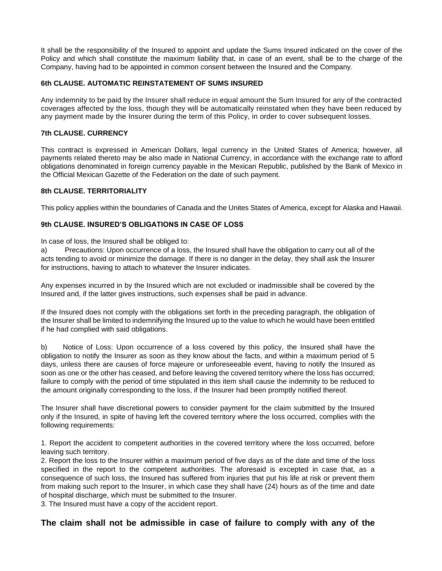It shall be the responsibility of the Insured to appoint and update the Sums Insured indicated on the cover of the Policy and which shall constitute the maximum liability that, in case of an event, shall be to the charge of the Company, having had to be appointed in common consent between the Insured and the Company.

#### **6th CLAUSE. AUTOMATIC REINSTATEMENT OF SUMS INSURED**

Any indemnity to be paid by the Insurer shall reduce in equal amount the Sum Insured for any of the contracted coverages affected by the loss, though they will be automatically reinstated when they have been reduced by any payment made by the Insurer during the term of this Policy, in order to cover subsequent losses.

#### **7th CLAUSE. CURRENCY**

This contract is expressed in American Dollars, legal currency in the United States of America; however, all payments related thereto may be also made in National Currency, in accordance with the exchange rate to afford obligations denominated in foreign currency payable in the Mexican Republic, published by the Bank of Mexico in the Official Mexican Gazette of the Federation on the date of such payment.

#### **8th CLAUSE. TERRITORIALITY**

This policy applies within the boundaries of Canada and the Unites States of America, except for Alaska and Hawaii.

#### **9th CLAUSE. INSURED'S OBLIGATIONS IN CASE OF LOSS**

In case of loss, the Insured shall be obliged to:

a) Precautions: Upon occurrence of a loss, the Insured shall have the obligation to carry out all of the acts tending to avoid or minimize the damage. If there is no danger in the delay, they shall ask the Insurer for instructions, having to attach to whatever the Insurer indicates.

Any expenses incurred in by the Insured which are not excluded or inadmissible shall be covered by the Insured and, if the latter gives instructions, such expenses shall be paid in advance.

If the Insured does not comply with the obligations set forth in the preceding paragraph, the obligation of the Insurer shall be limited to indemnifying the Insured up to the value to which he would have been entitled if he had complied with said obligations.

b) Notice of Loss: Upon occurrence of a loss covered by this policy, the Insured shall have the obligation to notify the Insurer as soon as they know about the facts, and within a maximum period of 5 days, unless there are causes of force majeure or unforeseeable event, having to notify the Insured as soon as one or the other has ceased, and before leaving the covered territory where the loss has occurred; failure to comply with the period of time stipulated in this item shall cause the indemnity to be reduced to the amount originally corresponding to the loss, if the Insurer had been promptly notified thereof.

The Insurer shall have discretional powers to consider payment for the claim submitted by the Insured only if the Insured, in spite of having left the covered territory where the loss occurred, complies with the following requirements:

1. Report the accident to competent authorities in the covered territory where the loss occurred, before leaving such territory.

2. Report the loss to the Insurer within a maximum period of five days as of the date and time of the loss specified in the report to the competent authorities. The aforesaid is excepted in case that, as a consequence of such loss, the Insured has suffered from injuries that put his life at risk or prevent them from making such report to the Insurer, in which case they shall have (24) hours as of the time and date of hospital discharge, which must be submitted to the Insurer.

3. The Insured must have a copy of the accident report.

## **The claim shall not be admissible in case of failure to comply with any of the**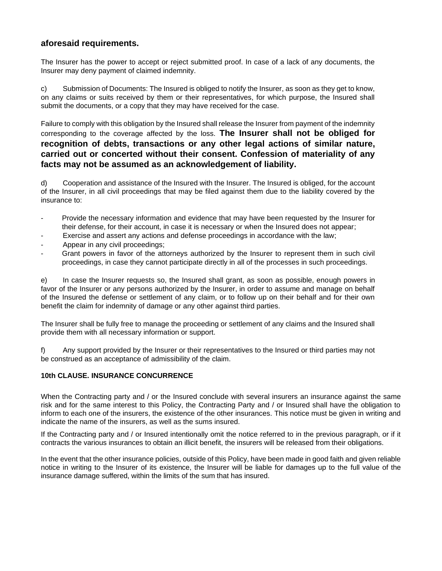## **aforesaid requirements.**

The Insurer has the power to accept or reject submitted proof. In case of a lack of any documents, the Insurer may deny payment of claimed indemnity.

c) Submission of Documents: The Insured is obliged to notify the Insurer, as soon as they get to know, on any claims or suits received by them or their representatives, for which purpose, the Insured shall submit the documents, or a copy that they may have received for the case.

Failure to comply with this obligation by the Insured shall release the Insurer from payment of the indemnity corresponding to the coverage affected by the loss. **The Insurer shall not be obliged for recognition of debts, transactions or any other legal actions of similar nature, carried out or concerted without their consent. Confession of materiality of any facts may not be assumed as an acknowledgement of liability.**

d) Cooperation and assistance of the Insured with the Insurer. The Insured is obliged, for the account of the Insurer, in all civil proceedings that may be filed against them due to the liability covered by the insurance to:

- Provide the necessary information and evidence that may have been requested by the Insurer for their defense, for their account, in case it is necessary or when the Insured does not appear;
- Exercise and assert any actions and defense proceedings in accordance with the law;
- Appear in any civil proceedings;
- Grant powers in favor of the attorneys authorized by the Insurer to represent them in such civil proceedings, in case they cannot participate directly in all of the processes in such proceedings.

e) In case the Insurer requests so, the Insured shall grant, as soon as possible, enough powers in favor of the Insurer or any persons authorized by the Insurer, in order to assume and manage on behalf of the Insured the defense or settlement of any claim, or to follow up on their behalf and for their own benefit the claim for indemnity of damage or any other against third parties.

The Insurer shall be fully free to manage the proceeding or settlement of any claims and the Insured shall provide them with all necessary information or support.

f) Any support provided by the Insurer or their representatives to the Insured or third parties may not be construed as an acceptance of admissibility of the claim.

#### **10th CLAUSE. INSURANCE CONCURRENCE**

When the Contracting party and / or the Insured conclude with several insurers an insurance against the same risk and for the same interest to this Policy, the Contracting Party and / or Insured shall have the obligation to inform to each one of the insurers, the existence of the other insurances. This notice must be given in writing and indicate the name of the insurers, as well as the sums insured.

If the Contracting party and / or Insured intentionally omit the notice referred to in the previous paragraph, or if it contracts the various insurances to obtain an illicit benefit, the insurers will be released from their obligations.

In the event that the other insurance policies, outside of this Policy, have been made in good faith and given reliable notice in writing to the Insurer of its existence, the Insurer will be liable for damages up to the full value of the insurance damage suffered, within the limits of the sum that has insured.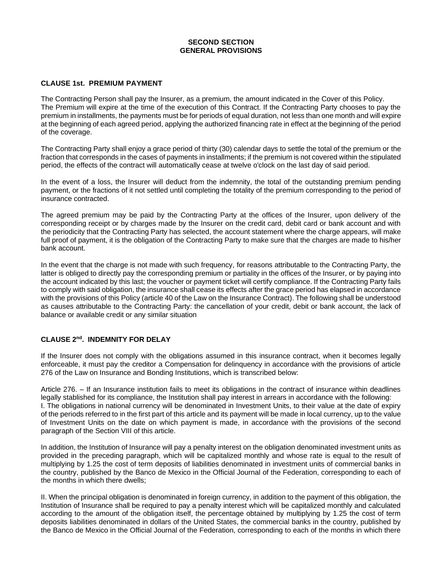#### **SECOND SECTION GENERAL PROVISIONS**

#### **CLAUSE 1st. PREMIUM PAYMENT**

The Contracting Person shall pay the Insurer, as a premium, the amount indicated in the Cover of this Policy. The Premium will expire at the time of the execution of this Contract. If the Contracting Party chooses to pay the premium in installments, the payments must be for periods of equal duration, not less than one month and will expire at the beginning of each agreed period, applying the authorized financing rate in effect at the beginning of the period of the coverage.

The Contracting Party shall enjoy a grace period of thirty (30) calendar days to settle the total of the premium or the fraction that corresponds in the cases of payments in installments; if the premium is not covered within the stipulated period, the effects of the contract will automatically cease at twelve o'clock on the last day of said period.

In the event of a loss, the Insurer will deduct from the indemnity, the total of the outstanding premium pending payment, or the fractions of it not settled until completing the totality of the premium corresponding to the period of insurance contracted.

The agreed premium may be paid by the Contracting Party at the offices of the Insurer, upon delivery of the corresponding receipt or by charges made by the Insurer on the credit card, debit card or bank account and with the periodicity that the Contracting Party has selected, the account statement where the charge appears, will make full proof of payment, it is the obligation of the Contracting Party to make sure that the charges are made to his/her bank account.

In the event that the charge is not made with such frequency, for reasons attributable to the Contracting Party, the latter is obliged to directly pay the corresponding premium or partiality in the offices of the Insurer, or by paying into the account indicated by this last; the voucher or payment ticket will certify compliance. If the Contracting Party fails to comply with said obligation, the insurance shall cease its effects after the grace period has elapsed in accordance with the provisions of this Policy (article 40 of the Law on the Insurance Contract). The following shall be understood as causes attributable to the Contracting Party: the cancellation of your credit, debit or bank account, the lack of balance or available credit or any similar situation

#### **CLAUSE 2nd . INDEMNITY FOR DELAY**

If the Insurer does not comply with the obligations assumed in this insurance contract, when it becomes legally enforceable, it must pay the creditor a Compensation for delinquency in accordance with the provisions of article 276 of the Law on Insurance and Bonding Institutions, which is transcribed below:

Article 276. – If an Insurance institution fails to meet its obligations in the contract of insurance within deadlines legally stablished for its compliance, the Institution shall pay interest in arrears in accordance with the following: I. The obligations in national currency will be denominated in Investment Units, to their value at the date of expiry of the periods referred to in the first part of this article and its payment will be made in local currency, up to the value of Investment Units on the date on which payment is made, in accordance with the provisions of the second paragraph of the Section VIII of this article.

In addition, the Institution of Insurance will pay a penalty interest on the obligation denominated investment units as provided in the preceding paragraph, which will be capitalized monthly and whose rate is equal to the result of multiplying by 1.25 the cost of term deposits of liabilities denominated in investment units of commercial banks in the country, published by the Banco de Mexico in the Official Journal of the Federation, corresponding to each of the months in which there dwells;

II. When the principal obligation is denominated in foreign currency, in addition to the payment of this obligation, the Institution of Insurance shall be required to pay a penalty interest which will be capitalized monthly and calculated according to the amount of the obligation itself, the percentage obtained by multiplying by 1.25 the cost of term deposits liabilities denominated in dollars of the United States, the commercial banks in the country, published by the Banco de Mexico in the Official Journal of the Federation, corresponding to each of the months in which there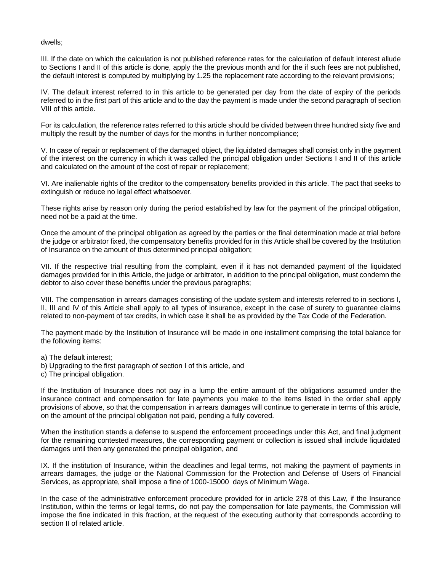dwells;

III. If the date on which the calculation is not published reference rates for the calculation of default interest allude to Sections I and II of this article is done, apply the the previous month and for the if such fees are not published, the default interest is computed by multiplying by 1.25 the replacement rate according to the relevant provisions;

IV. The default interest referred to in this article to be generated per day from the date of expiry of the periods referred to in the first part of this article and to the day the payment is made under the second paragraph of section VIII of this article.

For its calculation, the reference rates referred to this article should be divided between three hundred sixty five and multiply the result by the number of days for the months in further noncompliance;

V. In case of repair or replacement of the damaged object, the liquidated damages shall consist only in the payment of the interest on the currency in which it was called the principal obligation under Sections I and II of this article and calculated on the amount of the cost of repair or replacement;

VI. Are inalienable rights of the creditor to the compensatory benefits provided in this article. The pact that seeks to extinguish or reduce no legal effect whatsoever.

These rights arise by reason only during the period established by law for the payment of the principal obligation, need not be a paid at the time.

Once the amount of the principal obligation as agreed by the parties or the final determination made at trial before the judge or arbitrator fixed, the compensatory benefits provided for in this Article shall be covered by the Institution of Insurance on the amount of thus determined principal obligation;

VII. If the respective trial resulting from the complaint, even if it has not demanded payment of the liquidated damages provided for in this Article, the judge or arbitrator, in addition to the principal obligation, must condemn the debtor to also cover these benefits under the previous paragraphs;

VIII. The compensation in arrears damages consisting of the update system and interests referred to in sections I, II, III and IV of this Article shall apply to all types of insurance, except in the case of surety to guarantee claims related to non-payment of tax credits, in which case it shall be as provided by the Tax Code of the Federation.

The payment made by the Institution of Insurance will be made in one installment comprising the total balance for the following items:

a) The default interest;

b) Upgrading to the first paragraph of section I of this article, and

c) The principal obligation.

If the Institution of Insurance does not pay in a lump the entire amount of the obligations assumed under the insurance contract and compensation for late payments you make to the items listed in the order shall apply provisions of above, so that the compensation in arrears damages will continue to generate in terms of this article, on the amount of the principal obligation not paid, pending a fully covered.

When the institution stands a defense to suspend the enforcement proceedings under this Act, and final judgment for the remaining contested measures, the corresponding payment or collection is issued shall include liquidated damages until then any generated the principal obligation, and

IX. If the institution of Insurance, within the deadlines and legal terms, not making the payment of payments in arrears damages, the judge or the National Commission for the Protection and Defense of Users of Financial Services, as appropriate, shall impose a fine of 1000-15000 days of Minimum Wage.

In the case of the administrative enforcement procedure provided for in article 278 of this Law, if the Insurance Institution, within the terms or legal terms, do not pay the compensation for late payments, the Commission will impose the fine indicated in this fraction, at the request of the executing authority that corresponds according to section II of related article.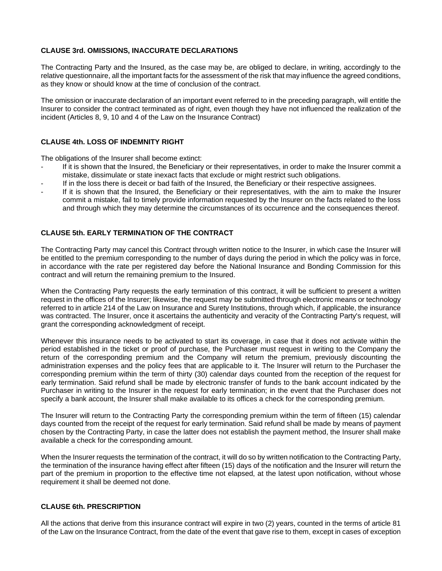#### **CLAUSE 3rd. OMISSIONS, INACCURATE DECLARATIONS**

The Contracting Party and the Insured, as the case may be, are obliged to declare, in writing, accordingly to the relative questionnaire, all the important facts for the assessment of the risk that may influence the agreed conditions, as they know or should know at the time of conclusion of the contract.

The omission or inaccurate declaration of an important event referred to in the preceding paragraph, will entitle the Insurer to consider the contract terminated as of right, even though they have not influenced the realization of the incident (Articles 8, 9, 10 and 4 of the Law on the Insurance Contract)

#### **CLAUSE 4th. LOSS OF INDEMNITY RIGHT**

The obligations of the Insurer shall become extinct:

- If it is shown that the Insured, the Beneficiary or their representatives, in order to make the Insurer commit a mistake, dissimulate or state inexact facts that exclude or might restrict such obligations.
- If in the loss there is deceit or bad faith of the Insured, the Beneficiary or their respective assignees.
- If it is shown that the Insured, the Beneficiary or their representatives, with the aim to make the Insurer commit a mistake, fail to timely provide information requested by the Insurer on the facts related to the loss and through which they may determine the circumstances of its occurrence and the consequences thereof.

#### **CLAUSE 5th. EARLY TERMINATION OF THE CONTRACT**

The Contracting Party may cancel this Contract through written notice to the Insurer, in which case the Insurer will be entitled to the premium corresponding to the number of days during the period in which the policy was in force, in accordance with the rate per registered day before the National Insurance and Bonding Commission for this contract and will return the remaining premium to the Insured.

When the Contracting Party requests the early termination of this contract, it will be sufficient to present a written request in the offices of the Insurer; likewise, the request may be submitted through electronic means or technology referred to in article 214 of the Law on Insurance and Surety Institutions, through which, if applicable, the insurance was contracted. The Insurer, once it ascertains the authenticity and veracity of the Contracting Party's request, will grant the corresponding acknowledgment of receipt.

Whenever this insurance needs to be activated to start its coverage, in case that it does not activate within the period established in the ticket or proof of purchase, the Purchaser must request in writing to the Company the return of the corresponding premium and the Company will return the premium, previously discounting the administration expenses and the policy fees that are applicable to it. The Insurer will return to the Purchaser the corresponding premium within the term of thirty (30) calendar days counted from the reception of the request for early termination. Said refund shall be made by electronic transfer of funds to the bank account indicated by the Purchaser in writing to the Insurer in the request for early termination; in the event that the Purchaser does not specify a bank account, the Insurer shall make available to its offices a check for the corresponding premium.

The Insurer will return to the Contracting Party the corresponding premium within the term of fifteen (15) calendar days counted from the receipt of the request for early termination. Said refund shall be made by means of payment chosen by the Contracting Party, in case the latter does not establish the payment method, the Insurer shall make available a check for the corresponding amount.

When the Insurer requests the termination of the contract, it will do so by written notification to the Contracting Party, the termination of the insurance having effect after fifteen (15) days of the notification and the Insurer will return the part of the premium in proportion to the effective time not elapsed, at the latest upon notification, without whose requirement it shall be deemed not done.

#### **CLAUSE 6th. PRESCRIPTION**

All the actions that derive from this insurance contract will expire in two (2) years, counted in the terms of article 81 of the Law on the Insurance Contract, from the date of the event that gave rise to them, except in cases of exception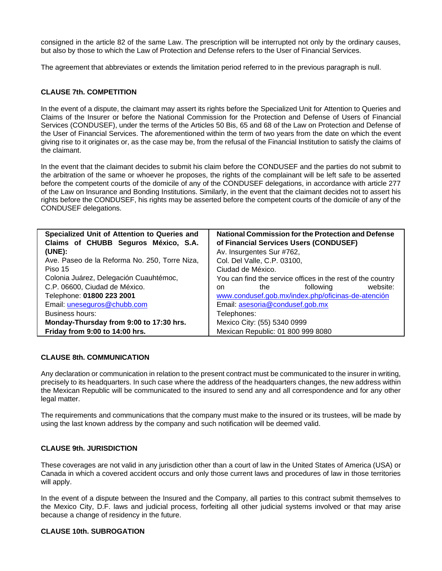consigned in the article 82 of the same Law. The prescription will be interrupted not only by the ordinary causes, but also by those to which the Law of Protection and Defense refers to the User of Financial Services.

The agreement that abbreviates or extends the limitation period referred to in the previous paragraph is null.

#### **CLAUSE 7th. COMPETITION**

In the event of a dispute, the claimant may assert its rights before the Specialized Unit for Attention to Queries and Claims of the Insurer or before the National Commission for the Protection and Defense of Users of Financial Services (CONDUSEF), under the terms of the Articles 50 Bis, 65 and 68 of the Law on Protection and Defense of the User of Financial Services. The aforementioned within the term of two years from the date on which the event giving rise to it originates or, as the case may be, from the refusal of the Financial Institution to satisfy the claims of the claimant.

In the event that the claimant decides to submit his claim before the CONDUSEF and the parties do not submit to the arbitration of the same or whoever he proposes, the rights of the complainant will be left safe to be asserted before the competent courts of the domicile of any of the CONDUSEF delegations, in accordance with article 277 of the Law on Insurance and Bonding Institutions. Similarly, in the event that the claimant decides not to assert his rights before the CONDUSEF, his rights may be asserted before the competent courts of the domicile of any of the CONDUSEF delegations.

| Specialized Unit of Attention to Queries and<br>Claims of CHUBB Seguros México, S.A. | <b>National Commission for the Protection and Defense</b><br>of Financial Services Users (CONDUSEF) |
|--------------------------------------------------------------------------------------|-----------------------------------------------------------------------------------------------------|
| (UNE):                                                                               | Av. Insurgentes Sur #762,                                                                           |
| Ave. Paseo de la Reforma No. 250, Torre Niza,                                        | Col. Del Valle, C.P. 03100,                                                                         |
| Piso 15                                                                              | Ciudad de México.                                                                                   |
| Colonia Juárez, Delegación Cuauhtémoc,                                               | You can find the service offices in the rest of the country                                         |
| C.P. 06600, Ciudad de México.                                                        | website:<br>following<br>the<br>on.                                                                 |
| Telephone: 01800 223 2001                                                            | www.condusef.gob.mx/index.php/oficinas-de-atención                                                  |
| Email: uneseguros@chubb.com                                                          | Email: asesoria@condusef.gob.mx                                                                     |
| Business hours:                                                                      | Telephones:                                                                                         |
| Monday-Thursday from 9:00 to 17:30 hrs.                                              | Mexico City: (55) 5340 0999                                                                         |
| Friday from 9:00 to 14:00 hrs.                                                       | Mexican Republic: 01 800 999 8080                                                                   |

#### **CLAUSE 8th. COMMUNICATION**

Any declaration or communication in relation to the present contract must be communicated to the insurer in writing, precisely to its headquarters. In such case where the address of the headquarters changes, the new address within the Mexican Republic will be communicated to the insured to send any and all correspondence and for any other legal matter.

The requirements and communications that the company must make to the insured or its trustees, will be made by using the last known address by the company and such notification will be deemed valid.

#### **CLAUSE 9th. JURISDICTION**

These coverages are not valid in any jurisdiction other than a court of law in the United States of America (USA) or Canada in which a covered accident occurs and only those current laws and procedures of law in those territories will apply.

In the event of a dispute between the Insured and the Company, all parties to this contract submit themselves to the Mexico City, D.F. laws and judicial process, forfeiting all other judicial systems involved or that may arise because a change of residency in the future.

#### **CLAUSE 10th. SUBROGATION**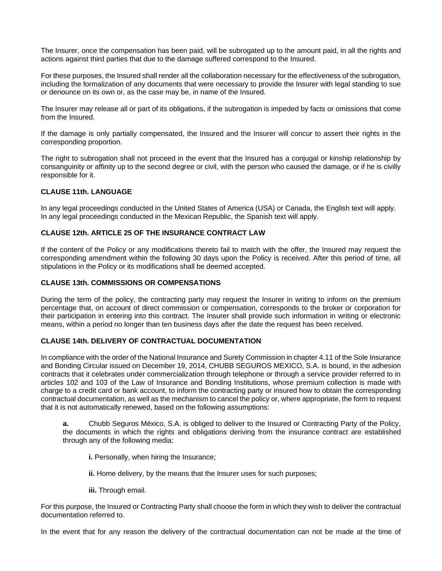The Insurer, once the compensation has been paid, will be subrogated up to the amount paid, in all the rights and actions against third parties that due to the damage suffered correspond to the Insured.

For these purposes, the Insured shall render all the collaboration necessary for the effectiveness of the subrogation, including the formalization of any documents that were necessary to provide the Insurer with legal standing to sue or denounce on its own or, as the case may be, in name of the Insured.

The Insurer may release all or part of its obligations, if the subrogation is impeded by facts or omissions that come from the Insured.

If the damage is only partially compensated, the Insured and the Insurer will concur to assert their rights in the corresponding proportion.

The right to subrogation shall not proceed in the event that the Insured has a conjugal or kinship relationship by consanguinity or affinity up to the second degree or civil, with the person who caused the damage, or if he is civilly responsible for it.

#### **CLAUSE 11th. LANGUAGE**

In any legal proceedings conducted in the United States of America (USA) or Canada, the English text will apply. In any legal proceedings conducted in the Mexican Republic, the Spanish text will apply.

#### **CLAUSE 12th. ARTICLE 25 OF THE INSURANCE CONTRACT LAW**

If the content of the Policy or any modifications thereto fail to match with the offer, the Insured may request the corresponding amendment within the following 30 days upon the Policy is received. After this period of time, all stipulations in the Policy or its modifications shall be deemed accepted.

#### **CLAUSE 13th. COMMISSIONS OR COMPENSATIONS**

During the term of the policy, the contracting party may request the Insurer in writing to inform on the premium percentage that, on account of direct commission or compensation, corresponds to the broker or corporation for their participation in entering into this contract. The Insurer shall provide such information in writing or electronic means, within a period no longer than ten business days after the date the request has been received.

#### **CLAUSE 14th. DELIVERY OF CONTRACTUAL DOCUMENTATION**

In compliance with the order of the National Insurance and Surety Commission in chapter 4.11 of the Sole Insurance and Bonding Circular issued on December 19, 2014, CHUBB SEGUROS MEXICO, S.A. is bound, in the adhesion contracts that it celebrates under commercialization through telephone or through a service provider referred to in articles 102 and 103 of the Law of Insurance and Bonding Institutions, whose premium collection is made with charge to a credit card or bank account, to inform the contracting party or insured how to obtain the corresponding contractual documentation, as well as the mechanism to cancel the policy or, where appropriate, the form to request that it is not automatically renewed, based on the following assumptions:

**a.** Chubb Seguros México, S.A. is obliged to deliver to the Insured or Contracting Party of the Policy, the documents in which the rights and obligations deriving from the insurance contract are established through any of the following media:

**i.** Personally, when hiring the Insurance;

**ii.** Home delivery, by the means that the Insurer uses for such purposes;

**iii.** Through email.

For this purpose, the Insured or Contracting Party shall choose the form in which they wish to deliver the contractual documentation referred to.

In the event that for any reason the delivery of the contractual documentation can not be made at the time of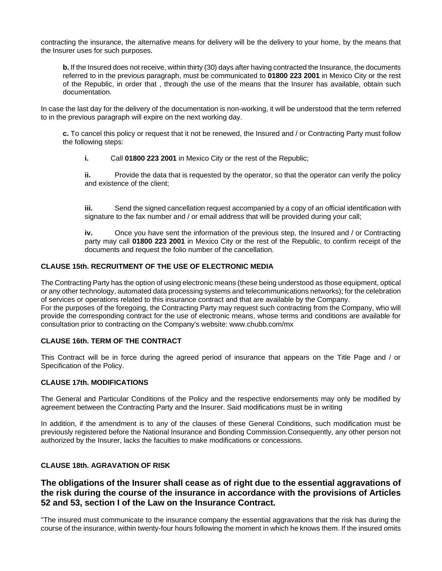contracting the insurance, the alternative means for delivery will be the delivery to your home, by the means that the Insurer uses for such purposes.

**b.** If the Insured does not receive, within thirty (30) days after having contracted the Insurance, the documents referred to in the previous paragraph, must be communicated to **01800 223 2001** in Mexico City or the rest of the Republic, in order that , through the use of the means that the Insurer has available, obtain such documentation.

In case the last day for the delivery of the documentation is non-working, it will be understood that the term referred to in the previous paragraph will expire on the next working day.

**c.** To cancel this policy or request that it not be renewed, the Insured and / or Contracting Party must follow the following steps:

**i.** Call **01800 223 2001** in Mexico City or the rest of the Republic;

**ii.** Provide the data that is requested by the operator, so that the operator can verify the policy and existence of the client;

**iii.** Send the signed cancellation request accompanied by a copy of an official identification with signature to the fax number and / or email address that will be provided during your call;

**iv.** Once you have sent the information of the previous step, the Insured and / or Contracting party may call **01800 223 2001** in Mexico City or the rest of the Republic, to confirm receipt of the documents and request the folio number of the cancellation.

#### **CLAUSE 15th. RECRUITMENT OF THE USE OF ELECTRONIC MEDIA**

The Contracting Party has the option of using electronic means (these being understood as those equipment, optical or any other technology, automated data processing systems and telecommunications networks); for the celebration of services or operations related to this insurance contract and that are available by the Company. For the purposes of the foregoing, the Contracting Party may request such contracting from the Company, who will provide the corresponding contract for the use of electronic means, whose terms and conditions are available for consultation prior to contracting on the Company's website: www.chubb.com/mx

#### **CLAUSE 16th. TERM OF THE CONTRACT**

This Contract will be in force during the agreed period of insurance that appears on the Title Page and / or Specification of the Policy.

#### **CLAUSE 17th. MODIFICATIONS**

The General and Particular Conditions of the Policy and the respective endorsements may only be modified by agreement between the Contracting Party and the Insurer. Said modifications must be in writing

In addition, if the amendment is to any of the clauses of these General Conditions, such modification must be previously registered before the National Insurance and Bonding Commission.Consequently, any other person not authorized by the Insurer, lacks the faculties to make modifications or concessions.

#### **CLAUSE 18th. AGRAVATION OF RISK**

## **The obligations of the Insurer shall cease as of right due to the essential aggravations of the risk during the course of the insurance in accordance with the provisions of Articles 52 and 53, section I of the Law on the Insurance Contract.**

"The insured must communicate to the insurance company the essential aggravations that the risk has during the course of the insurance, within twenty-four hours following the moment in which he knows them. If the insured omits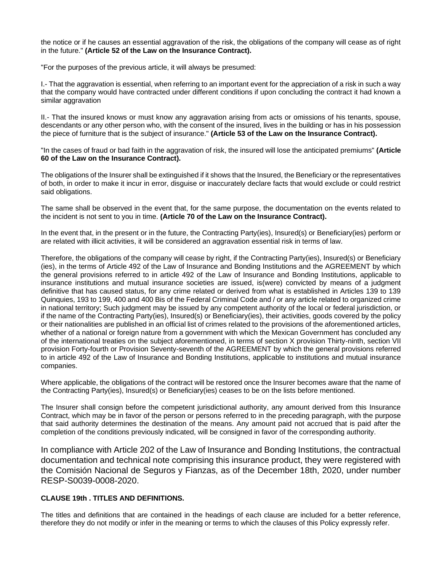the notice or if he causes an essential aggravation of the risk, the obligations of the company will cease as of right in the future." **(Article 52 of the Law on the Insurance Contract).**

"For the purposes of the previous article, it will always be presumed:

I.- That the aggravation is essential, when referring to an important event for the appreciation of a risk in such a way that the company would have contracted under different conditions if upon concluding the contract it had known a similar aggravation

II.- That the insured knows or must know any aggravation arising from acts or omissions of his tenants, spouse, descendants or any other person who, with the consent of the insured, lives in the building or has in his possession the piece of furniture that is the subject of insurance." **(Article 53 of the Law on the Insurance Contract).**

"In the cases of fraud or bad faith in the aggravation of risk, the insured will lose the anticipated premiums" **(Article 60 of the Law on the Insurance Contract).**

The obligations of the Insurer shall be extinguished if it shows that the Insured, the Beneficiary or the representatives of both, in order to make it incur in error, disguise or inaccurately declare facts that would exclude or could restrict said obligations.

The same shall be observed in the event that, for the same purpose, the documentation on the events related to the incident is not sent to you in time. **(Article 70 of the Law on the Insurance Contract).**

In the event that, in the present or in the future, the Contracting Party(ies), Insured(s) or Beneficiary(ies) perform or are related with illicit activities, it will be considered an aggravation essential risk in terms of law.

Therefore, the obligations of the company will cease by right, if the Contracting Party(ies), Insured(s) or Beneficiary (ies), in the terms of Article 492 of the Law of Insurance and Bonding Institutions and the AGREEMENT by which the general provisions referred to in article 492 of the Law of Insurance and Bonding Institutions, applicable to insurance institutions and mutual insurance societies are issued, is(were) convicted by means of a judgment definitive that has caused status, for any crime related or derived from what is established in Articles 139 to 139 Quinquies, 193 to 199, 400 and 400 Bis of the Federal Criminal Code and / or any article related to organized crime in national territory; Such judgment may be issued by any competent authority of the local or federal jurisdiction, or if the name of the Contracting Party(ies), Insured(s) or Beneficiary(ies), their activities, goods covered by the policy or their nationalities are published in an official list of crimes related to the provisions of the aforementioned articles, whether of a national or foreign nature from a government with which the Mexican Government has concluded any of the international treaties on the subject aforementioned, in terms of section X provision Thirty-ninth, section VII provision Forty-fourth or Provision Seventy-seventh of the AGREEMENT by which the general provisions referred to in article 492 of the Law of Insurance and Bonding Institutions, applicable to institutions and mutual insurance companies.

Where applicable, the obligations of the contract will be restored once the Insurer becomes aware that the name of the Contracting Party(ies), Insured(s) or Beneficiary(ies) ceases to be on the lists before mentioned.

The Insurer shall consign before the competent jurisdictional authority, any amount derived from this Insurance Contract, which may be in favor of the person or persons referred to in the preceding paragraph, with the purpose that said authority determines the destination of the means. Any amount paid not accrued that is paid after the completion of the conditions previously indicated, will be consigned in favor of the corresponding authority.

In compliance with Article 202 of the Law of Insurance and Bonding Institutions, the contractual documentation and technical note comprising this insurance product, they were registered with the Comisión Nacional de Seguros y Fianzas, as of the December 18th, 2020, under number RESP-S0039-0008-2020.

#### **CLAUSE 19th . TITLES AND DEFINITIONS.**

The titles and definitions that are contained in the headings of each clause are included for a better reference, therefore they do not modify or infer in the meaning or terms to which the clauses of this Policy expressly refer.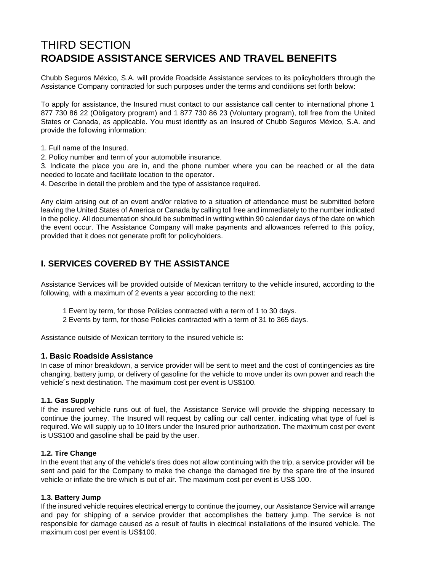## THIRD SECTION **ROADSIDE ASSISTANCE SERVICES AND TRAVEL BENEFITS**

Chubb Seguros México, S.A. will provide Roadside Assistance services to its policyholders through the Assistance Company contracted for such purposes under the terms and conditions set forth below:

To apply for assistance, the Insured must contact to our assistance call center to international phone 1 877 730 86 22 (Obligatory program) and 1 877 730 86 23 (Voluntary program), toll free from the United States or Canada, as applicable. You must identify as an Insured of Chubb Seguros México, S.A. and provide the following information:

1. Full name of the Insured.

2. Policy number and term of your automobile insurance.

3. Indicate the place you are in, and the phone number where you can be reached or all the data needed to locate and facilitate location to the operator.

4. Describe in detail the problem and the type of assistance required.

Any claim arising out of an event and/or relative to a situation of attendance must be submitted before leaving the United States of America or Canada by calling toll free and immediately to the number indicated in the policy. All documentation should be submitted in writing within 90 calendar days of the date on which the event occur. The Assistance Company will make payments and allowances referred to this policy, provided that it does not generate profit for policyholders.

## **I. SERVICES COVERED BY THE ASSISTANCE**

Assistance Services will be provided outside of Mexican territory to the vehicle insured, according to the following, with a maximum of 2 events a year according to the next:

- 1 Event by term, for those Policies contracted with a term of 1 to 30 days.
- 2 Events by term, for those Policies contracted with a term of 31 to 365 days.

Assistance outside of Mexican territory to the insured vehicle is:

#### **1. Basic Roadside Assistance**

In case of minor breakdown, a service provider will be sent to meet and the cost of contingencies as tire changing, battery jump, or delivery of gasoline for the vehicle to move under its own power and reach the vehicle´s next destination. The maximum cost per event is US\$100.

#### **1.1. Gas Supply**

If the insured vehicle runs out of fuel, the Assistance Service will provide the shipping necessary to continue the journey. The Insured will request by calling our call center, indicating what type of fuel is required. We will supply up to 10 liters under the Insured prior authorization. The maximum cost per event is US\$100 and gasoline shall be paid by the user.

#### **1.2. Tire Change**

In the event that any of the vehicle's tires does not allow continuing with the trip, a service provider will be sent and paid for the Company to make the change the damaged tire by the spare tire of the insured vehicle or inflate the tire which is out of air. The maximum cost per event is US\$ 100.

#### **1.3. Battery Jump**

If the insured vehicle requires electrical energy to continue the journey, our Assistance Service will arrange and pay for shipping of a service provider that accomplishes the battery jump. The service is not responsible for damage caused as a result of faults in electrical installations of the insured vehicle. The maximum cost per event is US\$100.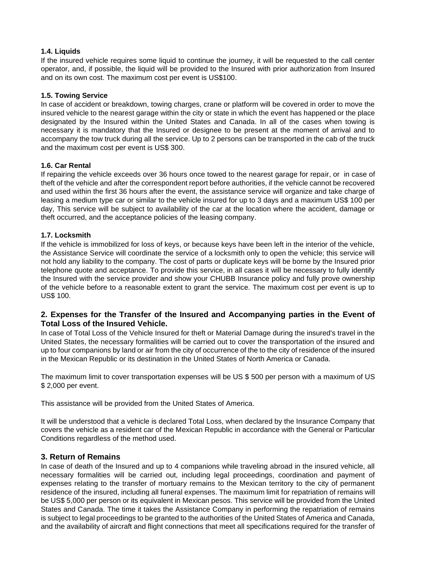#### **1.4. Liquids**

If the insured vehicle requires some liquid to continue the journey, it will be requested to the call center operator, and, if possible, the liquid will be provided to the Insured with prior authorization from Insured and on its own cost. The maximum cost per event is US\$100.

#### **1.5. Towing Service**

In case of accident or breakdown, towing charges, crane or platform will be covered in order to move the insured vehicle to the nearest garage within the city or state in which the event has happened or the place designated by the Insured within the United States and Canada. In all of the cases when towing is necessary it is mandatory that the Insured or designee to be present at the moment of arrival and to accompany the tow truck during all the service. Up to 2 persons can be transported in the cab of the truck and the maximum cost per event is US\$ 300.

#### **1.6. Car Rental**

If repairing the vehicle exceeds over 36 hours once towed to the nearest garage for repair, or in case of theft of the vehicle and after the correspondent report before authorities, if the vehicle cannot be recovered and used within the first 36 hours after the event, the assistance service will organize and take charge of leasing a medium type car or similar to the vehicle insured for up to 3 days and a maximum US\$ 100 per day, This service will be subject to availability of the car at the location where the accident, damage or theft occurred, and the acceptance policies of the leasing company.

#### **1.7. Locksmith**

If the vehicle is immobilized for loss of keys, or because keys have been left in the interior of the vehicle, the Assistance Service will coordinate the service of a locksmith only to open the vehicle; this service will not hold any liability to the company. The cost of parts or duplicate keys will be borne by the Insured prior telephone quote and acceptance. To provide this service, in all cases it will be necessary to fully identify the Insured with the service provider and show your CHUBB Insurance policy and fully prove ownership of the vehicle before to a reasonable extent to grant the service. The maximum cost per event is up to US\$ 100.

#### **2. Expenses for the Transfer of the Insured and Accompanying parties in the Event of Total Loss of the Insured Vehicle.**

In case of Total Loss of the Vehicle Insured for theft or Material Damage during the insured's travel in the United States, the necessary formalities will be carried out to cover the transportation of the insured and up to four companions by land or air from the city of occurrence of the to the city of residence of the insured in the Mexican Republic or its destination in the United States of North America or Canada.

The maximum limit to cover transportation expenses will be US \$ 500 per person with a maximum of US \$ 2,000 per event.

This assistance will be provided from the United States of America.

It will be understood that a vehicle is declared Total Loss, when declared by the Insurance Company that covers the vehicle as a resident car of the Mexican Republic in accordance with the General or Particular Conditions regardless of the method used.

#### **3. Return of Remains**

In case of death of the Insured and up to 4 companions while traveling abroad in the insured vehicle, all necessary formalities will be carried out, including legal proceedings, coordination and payment of expenses relating to the transfer of mortuary remains to the Mexican territory to the city of permanent residence of the insured, including all funeral expenses. The maximum limit for repatriation of remains will be US\$ 5,000 per person or its equivalent in Mexican pesos. This service will be provided from the United States and Canada. The time it takes the Assistance Company in performing the repatriation of remains is subject to legal proceedings to be granted to the authorities of the United States of America and Canada, and the availability of aircraft and flight connections that meet all specifications required for the transfer of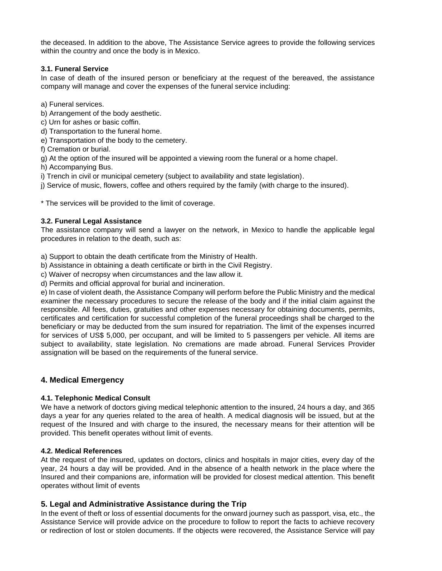the deceased. In addition to the above, The Assistance Service agrees to provide the following services within the country and once the body is in Mexico.

#### **3.1. Funeral Service**

In case of death of the insured person or beneficiary at the request of the bereaved, the assistance company will manage and cover the expenses of the funeral service including:

a) Funeral services.

- b) Arrangement of the body aesthetic.
- c) Urn for ashes or basic coffin.
- d) Transportation to the funeral home.

e) Transportation of the body to the cemetery.

f) Cremation or burial.

g) At the option of the insured will be appointed a viewing room the funeral or a home chapel.

h) Accompanying Bus.

i) Trench in civil or municipal cemetery (subject to availability and state legislation).

j) Service of music, flowers, coffee and others required by the family (with charge to the insured).

\* The services will be provided to the limit of coverage.

#### **3.2. Funeral Legal Assistance**

The assistance company will send a lawyer on the network, in Mexico to handle the applicable legal procedures in relation to the death, such as:

a) Support to obtain the death certificate from the Ministry of Health.

b) Assistance in obtaining a death certificate or birth in the Civil Registry.

c) Waiver of necropsy when circumstances and the law allow it.

d) Permits and official approval for burial and incineration.

e) In case of violent death, the Assistance Company will perform before the Public Ministry and the medical examiner the necessary procedures to secure the release of the body and if the initial claim against the responsible. All fees, duties, gratuities and other expenses necessary for obtaining documents, permits, certificates and certification for successful completion of the funeral proceedings shall be charged to the beneficiary or may be deducted from the sum insured for repatriation. The limit of the expenses incurred for services of US\$ 5,000, per occupant, and will be limited to 5 passengers per vehicle. All items are subject to availability, state legislation. No cremations are made abroad. Funeral Services Provider assignation will be based on the requirements of the funeral service.

## **4. Medical Emergency**

#### **4.1. Telephonic Medical Consult**

We have a network of doctors giving medical telephonic attention to the insured, 24 hours a day, and 365 days a year for any queries related to the area of health. A medical diagnosis will be issued, but at the request of the Insured and with charge to the insured, the necessary means for their attention will be provided. This benefit operates without limit of events.

#### **4.2. Medical References**

At the request of the insured, updates on doctors, clinics and hospitals in major cities, every day of the year, 24 hours a day will be provided. And in the absence of a health network in the place where the Insured and their companions are, information will be provided for closest medical attention. This benefit operates without limit of events

#### **5. Legal and Administrative Assistance during the Trip**

In the event of theft or loss of essential documents for the onward journey such as passport, visa, etc., the Assistance Service will provide advice on the procedure to follow to report the facts to achieve recovery or redirection of lost or stolen documents. If the objects were recovered, the Assistance Service will pay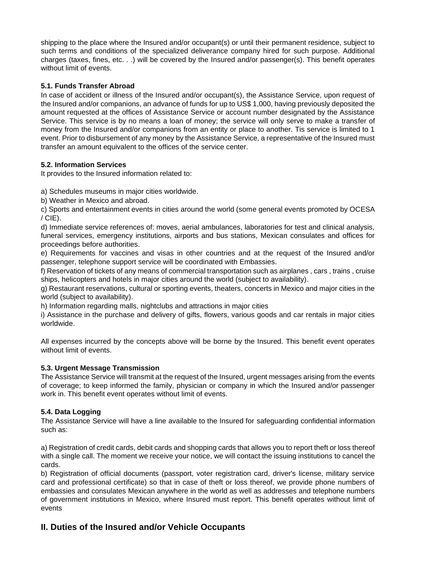shipping to the place where the Insured and/or occupant(s) or until their permanent residence, subject to such terms and conditions of the specialized deliverance company hired for such purpose. Additional charges (taxes, fines, etc. . .) will be covered by the Insured and/or passenger(s). This benefit operates without limit of events.

#### **5.1. Funds Transfer Abroad**

In case of accident or illness of the Insured and/or occupant(s), the Assistance Service, upon request of the Insured and/or companions, an advance of funds for up to US\$ 1,000, having previously deposited the amount requested at the offices of Assistance Service or account number designated by the Assistance Service. This service is by no means a loan of money; the service will only serve to make a transfer of money from the Insured and/or companions from an entity or place to another. Tis service is limited to 1 event. Prior to disbursement of any money by the Assistance Service, a representative of the Insured must transfer an amount equivalent to the offices of the service center.

#### **5.2. Information Services**

It provides to the Insured information related to:

a) Schedules museums in major cities worldwide.

b) Weather in Mexico and abroad.

c) Sports and entertainment events in cities around the world (some general events promoted by OCESA  $/$  CIE).

d) Immediate service references of: moves, aerial ambulances, laboratories for test and clinical analysis, funeral services, emergency institutions, airports and bus stations, Mexican consulates and offices for proceedings before authorities.

e) Requirements for vaccines and visas in other countries and at the request of the Insured and/or passenger, telephone support service will be coordinated with Embassies.

f) Reservation of tickets of any means of commercial transportation such as airplanes , cars , trains , cruise ships, helicopters and hotels in major cities around the world (subject to availability).

g) Restaurant reservations, cultural or sporting events, theaters, concerts in Mexico and major cities in the world (subject to availability).

h) Information regarding malls, nightclubs and attractions in major cities

i) Assistance in the purchase and delivery of gifts, flowers, various goods and car rentals in major cities worldwide.

All expenses incurred by the concepts above will be borne by the Insured. This benefit event operates without limit of events.

## **5.3. Urgent Message Transmission**

The Assistance Service will transmit at the request of the Insured, urgent messages arising from the events of coverage; to keep informed the family, physician or company in which the Insured and/or passenger work in. This benefit event operates without limit of events.

## **5.4. Data Logging**

The Assistance Service will have a line available to the Insured for safeguarding confidential information such as:

a) Registration of credit cards, debit cards and shopping cards that allows you to report theft or loss thereof with a single call. The moment we receive your notice, we will contact the issuing institutions to cancel the cards.

b) Registration of official documents (passport, voter registration card, driver's license, military service card and professional certificate) so that in case of theft or loss thereof, we provide phone numbers of embassies and consulates Mexican anywhere in the world as well as addresses and telephone numbers of government institutions in Mexico, where Insured must report. This benefit operates without limit of events

## **II. Duties of the Insured and/or Vehicle Occupants**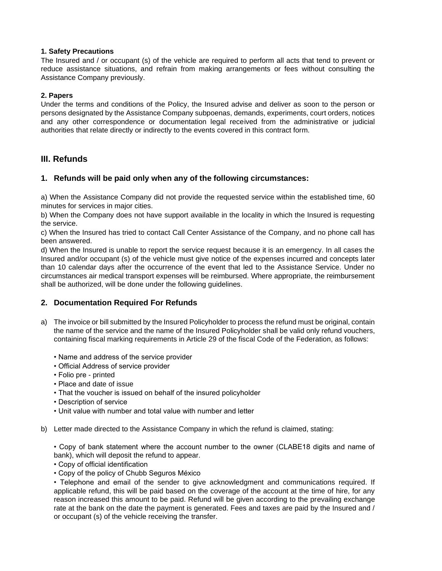#### **1. Safety Precautions**

The Insured and / or occupant (s) of the vehicle are required to perform all acts that tend to prevent or reduce assistance situations, and refrain from making arrangements or fees without consulting the Assistance Company previously.

#### **2. Papers**

Under the terms and conditions of the Policy, the Insured advise and deliver as soon to the person or persons designated by the Assistance Company subpoenas, demands, experiments, court orders, notices and any other correspondence or documentation legal received from the administrative or judicial authorities that relate directly or indirectly to the events covered in this contract form.

## **III. Refunds**

#### **1. Refunds will be paid only when any of the following circumstances:**

a) When the Assistance Company did not provide the requested service within the established time, 60 minutes for services in major cities.

b) When the Company does not have support available in the locality in which the Insured is requesting the service.

c) When the Insured has tried to contact Call Center Assistance of the Company, and no phone call has been answered.

d) When the Insured is unable to report the service request because it is an emergency. In all cases the Insured and/or occupant (s) of the vehicle must give notice of the expenses incurred and concepts later than 10 calendar days after the occurrence of the event that led to the Assistance Service. Under no circumstances air medical transport expenses will be reimbursed. Where appropriate, the reimbursement shall be authorized, will be done under the following guidelines.

## **2. Documentation Required For Refunds**

- a) The invoice or bill submitted by the Insured Policyholder to process the refund must be original, contain the name of the service and the name of the Insured Policyholder shall be valid only refund vouchers, containing fiscal marking requirements in Article 29 of the fiscal Code of the Federation, as follows:
	- Name and address of the service provider
	- Official Address of service provider
	- Folio pre printed
	- Place and date of issue
	- That the voucher is issued on behalf of the insured policyholder
	- Description of service
	- Unit value with number and total value with number and letter
- b) Letter made directed to the Assistance Company in which the refund is claimed, stating:

• Copy of bank statement where the account number to the owner (CLABE18 digits and name of bank), which will deposit the refund to appear.

- Copy of official identification
- Copy of the policy of Chubb Seguros México

• Telephone and email of the sender to give acknowledgment and communications required. If applicable refund, this will be paid based on the coverage of the account at the time of hire, for any reason increased this amount to be paid. Refund will be given according to the prevailing exchange rate at the bank on the date the payment is generated. Fees and taxes are paid by the Insured and / or occupant (s) of the vehicle receiving the transfer.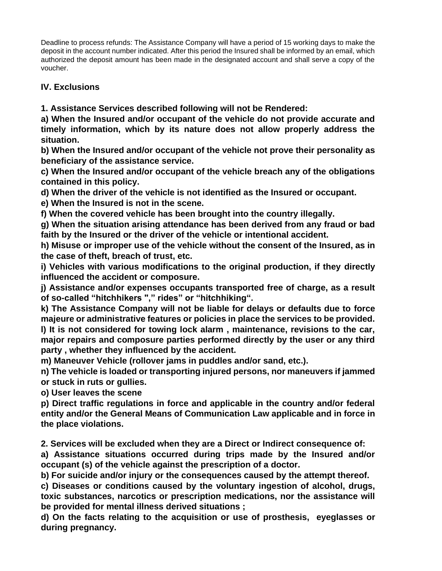Deadline to process refunds: The Assistance Company will have a period of 15 working days to make the deposit in the account number indicated. After this period the Insured shall be informed by an email, which authorized the deposit amount has been made in the designated account and shall serve a copy of the voucher.

## **IV. Exclusions**

**1. Assistance Services described following will not be Rendered:**

**a) When the Insured and/or occupant of the vehicle do not provide accurate and timely information, which by its nature does not allow properly address the situation.**

**b) When the Insured and/or occupant of the vehicle not prove their personality as beneficiary of the assistance service.**

**c) When the Insured and/or occupant of the vehicle breach any of the obligations contained in this policy.**

**d) When the driver of the vehicle is not identified as the Insured or occupant.**

**e) When the Insured is not in the scene.**

**f) When the covered vehicle has been brought into the country illegally.**

**g) When the situation arising attendance has been derived from any fraud or bad faith by the Insured or the driver of the vehicle or intentional accident.**

**h) Misuse or improper use of the vehicle without the consent of the Insured, as in the case of theft, breach of trust, etc.**

**i) Vehicles with various modifications to the original production, if they directly influenced the accident or composure.**

**j) Assistance and/or expenses occupants transported free of charge, as a result of so-called "hitchhikers "," rides" or "hitchhiking".**

**k) The Assistance Company will not be liable for delays or defaults due to force majeure or administrative features or policies in place the services to be provided. l) It is not considered for towing lock alarm , maintenance, revisions to the car, major repairs and composure parties performed directly by the user or any third party , whether they influenced by the accident.**

**m) Maneuver Vehicle (rollover jams in puddles and/or sand, etc.).**

**n) The vehicle is loaded or transporting injured persons, nor maneuvers if jammed or stuck in ruts or gullies.**

**o) User leaves the scene**

**p) Direct traffic regulations in force and applicable in the country and/or federal entity and/or the General Means of Communication Law applicable and in force in the place violations.**

**2. Services will be excluded when they are a Direct or Indirect consequence of:** 

**a) Assistance situations occurred during trips made by the Insured and/or occupant (s) of the vehicle against the prescription of a doctor.**

**b) For suicide and/or injury or the consequences caused by the attempt thereof.**

**c) Diseases or conditions caused by the voluntary ingestion of alcohol, drugs, toxic substances, narcotics or prescription medications, nor the assistance will be provided for mental illness derived situations ;**

**d) On the facts relating to the acquisition or use of prosthesis, eyeglasses or during pregnancy.**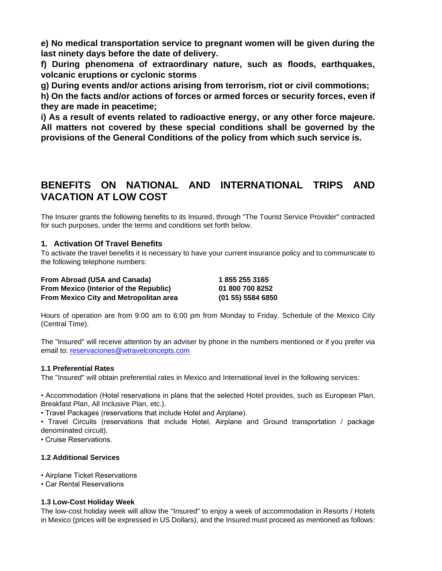**e) No medical transportation service to pregnant women will be given during the last ninety days before the date of delivery.**

**f) During phenomena of extraordinary nature, such as floods, earthquakes, volcanic eruptions or cyclonic storms**

**g) During events and/or actions arising from terrorism, riot or civil commotions;**

**h) On the facts and/or actions of forces or armed forces or security forces, even if they are made in peacetime;**

**i) As a result of events related to radioactive energy, or any other force majeure. All matters not covered by these special conditions shall be governed by the provisions of the General Conditions of the policy from which such service is.**

## **BENEFITS ON NATIONAL AND INTERNATIONAL TRIPS AND VACATION AT LOW COST**

The Insurer grants the following benefits to its Insured, through "The Tourist Service Provider" contracted for such purposes, under the terms and conditions set forth below.

## **1. Activation Of Travel Benefits**

To activate the travel benefits it is necessary to have your current insurance policy and to communicate to the following telephone numbers:

#### **From Abroad (USA and Canada) 1 855 255 3165**

**From Mexico (Interior of the Republic) 01 800 700 8252 From Mexico City and Metropolitan area (01 55) 5584 6850**

Hours of operation are from 9:00 am to 6:00 pm from Monday to Friday. Schedule of the Mexico City (Central Time).

The "Insured" will receive attention by an adviser by phone in the numbers mentioned or if you prefer via email to: [reservaciones@wtravelconcepts.com](mailto:reservaciones@wtravelconcepts.com)

#### **1.1 Preferential Rates**

The "Insured" will obtain preferential rates in Mexico and International level in the following services:

• Accommodation (Hotel reservations in plans that the selected Hotel provides, such as European Plan, Breakfast Plan, All Inclusive Plan, etc.).

• Travel Packages (reservations that include Hotel and Airplane).

• Travel Circuits (reservations that include Hotel, Airplane and Ground transportation / package denominated circuit).

• Cruise Reservations.

## **1.2 Additional Services**

• Airplane Ticket Reservations

• Car Rental Reservations

#### **1.3 Low-Cost Holiday Week**

The low-cost holiday week will allow the "Insured" to enjoy a week of accommodation in Resorts / Hotels in Mexico (prices will be expressed in US Dollars), and the Insured must proceed as mentioned as follows: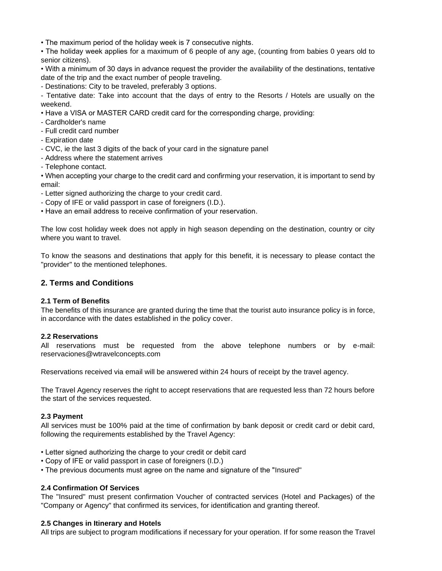• The maximum period of the holiday week is 7 consecutive nights.

• The holiday week applies for a maximum of 6 people of any age, (counting from babies 0 years old to senior citizens).

• With a minimum of 30 days in advance request the provider the availability of the destinations, tentative date of the trip and the exact number of people traveling.

- Destinations: City to be traveled, preferably 3 options.

- Tentative date: Take into account that the days of entry to the Resorts / Hotels are usually on the weekend.

- Have a VISA or MASTER CARD credit card for the corresponding charge, providing:
- Cardholder's name
- Full credit card number
- Expiration date
- CVC, ie the last 3 digits of the back of your card in the signature panel
- Address where the statement arrives
- Telephone contact.

• When accepting your charge to the credit card and confirming your reservation, it is important to send by email:

- Letter signed authorizing the charge to your credit card.
- Copy of IFE or valid passport in case of foreigners (I.D.).
- Have an email address to receive confirmation of your reservation.

The low cost holiday week does not apply in high season depending on the destination, country or city where you want to travel.

To know the seasons and destinations that apply for this benefit, it is necessary to please contact the "provider" to the mentioned telephones.

#### **2. Terms and Conditions**

#### **2.1 Term of Benefits**

The benefits of this insurance are granted during the time that the tourist auto insurance policy is in force, in accordance with the dates established in the policy cover.

#### **2.2 Reservations**

All reservations must be requested from the above telephone numbers or by e-mail: reservaciones@wtravelconcepts.com

Reservations received via email will be answered within 24 hours of receipt by the travel agency.

The Travel Agency reserves the right to accept reservations that are requested less than 72 hours before the start of the services requested.

#### **2.3 Payment**

All services must be 100% paid at the time of confirmation by bank deposit or credit card or debit card, following the requirements established by the Travel Agency:

- Letter signed authorizing the charge to your credit or debit card
- Copy of IFE or valid passport in case of foreigners (I.D.)
- The previous documents must agree on the name and signature of the "Insured"

#### **2.4 Confirmation Of Services**

The "Insured" must present confirmation Voucher of contracted services (Hotel and Packages) of the "Company or Agency" that confirmed its services, for identification and granting thereof.

#### **2.5 Changes in Itinerary and Hotels**

All trips are subject to program modifications if necessary for your operation. If for some reason the Travel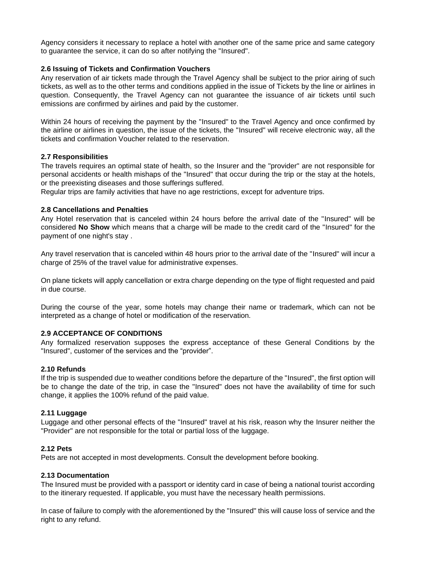Agency considers it necessary to replace a hotel with another one of the same price and same category to guarantee the service, it can do so after notifying the "Insured".

#### **2.6 Issuing of Tickets and Confirmation Vouchers**

Any reservation of air tickets made through the Travel Agency shall be subject to the prior airing of such tickets, as well as to the other terms and conditions applied in the issue of Tickets by the line or airlines in question. Consequently, the Travel Agency can not guarantee the issuance of air tickets until such emissions are confirmed by airlines and paid by the customer.

Within 24 hours of receiving the payment by the "Insured" to the Travel Agency and once confirmed by the airline or airlines in question, the issue of the tickets, the "Insured" will receive electronic way, all the tickets and confirmation Voucher related to the reservation.

#### **2.7 Responsibilities**

The travels requires an optimal state of health, so the Insurer and the "provider" are not responsible for personal accidents or health mishaps of the "Insured" that occur during the trip or the stay at the hotels, or the preexisting diseases and those sufferings suffered.

Regular trips are family activities that have no age restrictions, except for adventure trips.

#### **2.8 Cancellations and Penalties**

Any Hotel reservation that is canceled within 24 hours before the arrival date of the "Insured" will be considered **No Show** which means that a charge will be made to the credit card of the "Insured" for the payment of one night's stay .

Any travel reservation that is canceled within 48 hours prior to the arrival date of the "Insured" will incur a charge of 25% of the travel value for administrative expenses.

On plane tickets will apply cancellation or extra charge depending on the type of flight requested and paid in due course.

During the course of the year, some hotels may change their name or trademark, which can not be interpreted as a change of hotel or modification of the reservation.

#### **2.9 ACCEPTANCE OF CONDITIONS**

Any formalized reservation supposes the express acceptance of these General Conditions by the "Insured", customer of the services and the "provider".

#### **2.10 Refunds**

If the trip is suspended due to weather conditions before the departure of the "Insured", the first option will be to change the date of the trip, in case the "Insured" does not have the availability of time for such change, it applies the 100% refund of the paid value.

#### **2.11 Luggage**

Luggage and other personal effects of the "Insured" travel at his risk, reason why the Insurer neither the "Provider" are not responsible for the total or partial loss of the luggage.

#### **2.12 Pets**

Pets are not accepted in most developments. Consult the development before booking.

#### **2.13 Documentation**

The Insured must be provided with a passport or identity card in case of being a national tourist according to the itinerary requested. If applicable, you must have the necessary health permissions.

In case of failure to comply with the aforementioned by the "Insured" this will cause loss of service and the right to any refund.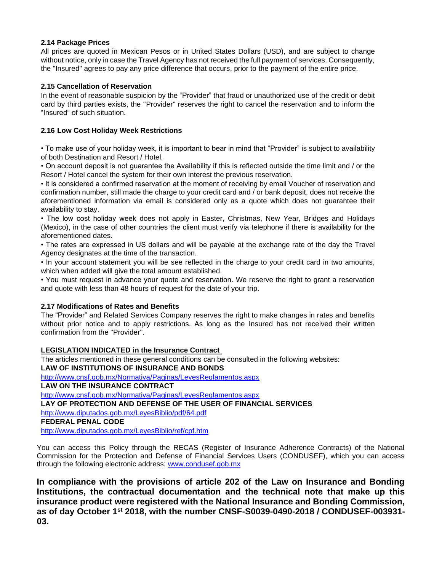#### **2.14 Package Prices**

All prices are quoted in Mexican Pesos or in United States Dollars (USD), and are subject to change without notice, only in case the Travel Agency has not received the full payment of services. Consequently, the "Insured" agrees to pay any price difference that occurs, prior to the payment of the entire price.

#### **2.15 Cancellation of Reservation**

In the event of reasonable suspicion by the "Provider" that fraud or unauthorized use of the credit or debit card by third parties exists, the "Provider" reserves the right to cancel the reservation and to inform the "Insured" of such situation.

#### **2.16 Low Cost Holiday Week Restrictions**

• To make use of your holiday week, it is important to bear in mind that "Provider" is subject to availability of both Destination and Resort / Hotel.

• On account deposit is not guarantee the Availability if this is reflected outside the time limit and / or the Resort / Hotel cancel the system for their own interest the previous reservation.

• It is considered a confirmed reservation at the moment of receiving by email Voucher of reservation and confirmation number, still made the charge to your credit card and / or bank deposit, does not receive the aforementioned information via email is considered only as a quote which does not guarantee their availability to stay.

• The low cost holiday week does not apply in Easter, Christmas, New Year, Bridges and Holidays (Mexico), in the case of other countries the client must verify via telephone if there is availability for the aforementioned dates.

• The rates are expressed in US dollars and will be payable at the exchange rate of the day the Travel Agency designates at the time of the transaction.

• In your account statement you will be see reflected in the charge to your credit card in two amounts, which when added will give the total amount established.

• You must request in advance your quote and reservation. We reserve the right to grant a reservation and quote with less than 48 hours of request for the date of your trip.

#### **2.17 Modifications of Rates and Benefits**

The "Provider" and Related Services Company reserves the right to make changes in rates and benefits without prior notice and to apply restrictions. As long as the Insured has not received their written confirmation from the "Provider".

#### **LEGISLATION INDICATED in the Insurance Contract**

The articles mentioned in these general conditions can be consulted in the following websites: **LAW OF INSTITUTIONS OF INSURANCE AND BONDS**

<http://www.cnsf.gob.mx/Normativa/Paginas/LeyesReglamentos.aspx>

**LAW ON THE INSURANCE CONTRACT**

<http://www.cnsf.gob.mx/Normativa/Paginas/LeyesReglamentos.aspx>

**LAY OF PROTECTION AND DEFENSE OF THE USER OF FINANCIAL SERVICES**

<http://www.diputados.gob.mx/LeyesBiblio/pdf/64.pdf>

#### **FEDERAL PENAL CODE**

<http://www.diputados.gob.mx/LeyesBiblio/ref/cpf.htm>

You can access this Policy through the RECAS (Register of Insurance Adherence Contracts) of the National Commission for the Protection and Defense of Financial Services Users (CONDUSEF), which you can access through the following electronic address: [www.condusef.gob.mx](http://www.condusef.gob.mx/)

**In compliance with the provisions of article 202 of the Law on Insurance and Bonding Institutions, the contractual documentation and the technical note that make up this insurance product were registered with the National Insurance and Bonding Commission, as of day October 1st 2018, with the number CNSF-S0039-0490-2018 / CONDUSEF-003931- 03.**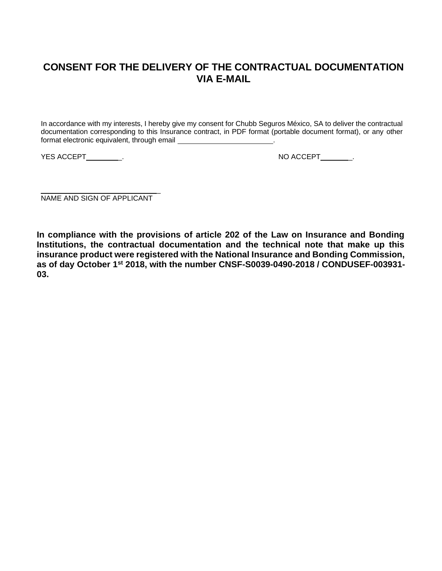## **CONSENT FOR THE DELIVERY OF THE CONTRACTUAL DOCUMENTATION VIA E-MAIL**

In accordance with my interests, I hereby give my consent for Chubb Seguros México, SA to deliver the contractual documentation corresponding to this Insurance contract, in PDF format (portable document format), or any other format electronic equivalent, through email

YES ACCEPT\_\_\_\_\_\_\_\_\_\_. A CONSERVER THE RESOLUTION OF A RESOLUTION OF A RESOLUTION OF A RESOLUTION OF A RESOLUTION OF A RESOLUTION OF A RESOLUTION OF A RESOLUTION OF A RESOLUTION OF A RESOLUTION OF A RESOLUTION OF A RESOLUTI

 $\overline{a}$ NAME AND SIGN OF APPLICANT

**In compliance with the provisions of article 202 of the Law on Insurance and Bonding Institutions, the contractual documentation and the technical note that make up this insurance product were registered with the National Insurance and Bonding Commission, as of day October 1st 2018, with the number CNSF-S0039-0490-2018 / CONDUSEF-003931- 03.**